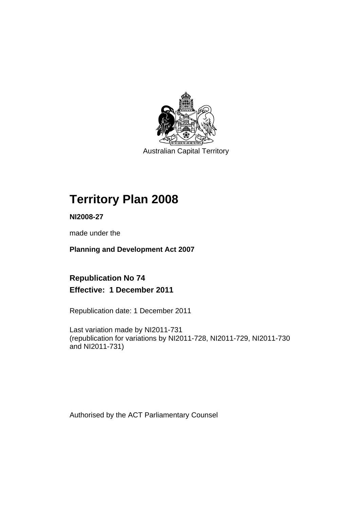

Australian Capital Territory

# **Territory Plan 2008**

**NI2008-27** 

made under the

**Planning and Development Act 2007** 

## **Republication No 74 Effective: 1 December 2011**

Republication date: 1 December 2011

Last variation made by NI2011-731 (republication for variations by NI2011-728, NI2011-729, NI2011-730 and NI2011-731)

Authorised by the ACT Parliamentary Counsel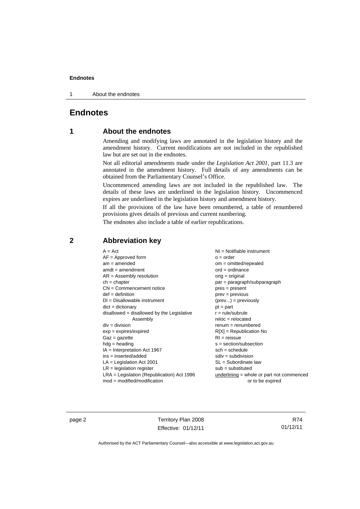1 About the endnotes

### **Endnotes**

### **1 About the endnotes**

Amending and modifying laws are annotated in the legislation history and the amendment history. Current modifications are not included in the republished law but are set out in the endnotes.

Not all editorial amendments made under the *Legislation Act 2001*, part 11.3 are annotated in the amendment history. Full details of any amendments can be obtained from the Parliamentary Counsel's Office.

Uncommenced amending laws are not included in the republished law. The details of these laws are underlined in the legislation history. Uncommenced expires are underlined in the legislation history and amendment history.

If all the provisions of the law have been renumbered, a table of renumbered provisions gives details of previous and current numbering.

The endnotes also include a table of earlier republications.

| $A = Act$                                    | $NI =$ Notifiable instrument              |
|----------------------------------------------|-------------------------------------------|
| $AF =$ Approved form                         | $o = order$                               |
| $am = amended$                               | $om = omitted/repealed$                   |
| $amdt = amendment$                           | $ord = ordinance$                         |
| $AR = Assembly resolution$                   | $orig = original$                         |
| $ch = chapter$                               | par = paragraph/subparagraph              |
| $CN =$ Commencement notice                   | $pres = present$                          |
| $def = definition$                           | $prev = previous$                         |
| $DI = Disallowable instrument$               | $(\text{prev}) = \text{previously}$       |
| $dict = dictionary$                          | $pt = part$                               |
| $disallowed = disallowed by the Legislative$ | $r = rule/subrule$                        |
| Assembly                                     | $reloc = relocated$                       |
| $div = division$                             | $remum = renumbered$                      |
| $exp = expires/expired$                      | $R[X]$ = Republication No                 |
| $Gaz = gazette$                              | $RI = reissue$                            |
| $hdg = heading$                              | $s = section/subsection$                  |
| $IA = Interpretation Act 1967$               | $sch = schedule$                          |
| $ins = inserted/added$                       | $sdiv = subdivision$                      |
| $LA =$ Legislation Act 2001                  | $SL = Subordinate$ law                    |
| $LR =$ legislation register                  | $sub =$ substituted                       |
| $LRA =$ Legislation (Republication) Act 1996 | underlining = whole or part not commenced |
| $mod = modified/modification$                | or to be expired                          |

### **2 Abbreviation key**

page 2 Territory Plan 2008 Effective: 01/12/11

R74 01/12/11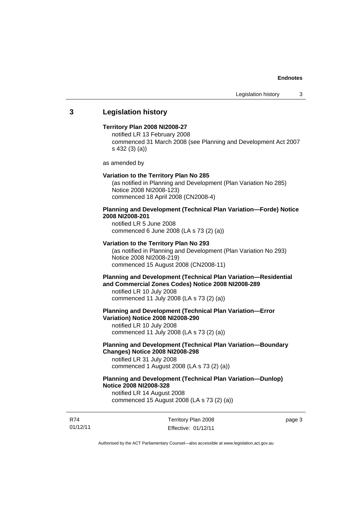### **3 Legislation history**

#### **Territory Plan 2008 NI2008-27**

notified LR 13 February 2008 commenced 31 March 2008 (see Planning and Development Act 2007 s 432 (3) (a))

as amended by

#### **Variation to the Territory Plan No 285**

(as notified in Planning and Development (Plan Variation No 285) Notice 2008 NI2008-123) commenced 18 April 2008 (CN2008-4)

### **Planning and Development (Technical Plan Variation—Forde) Notice 2008 NI2008-201**

notified LR 5 June 2008 commenced 6 June 2008 (LA s 73 (2) (a))

#### **Variation to the Territory Plan No 293**

(as notified in Planning and Development (Plan Variation No 293) Notice 2008 NI2008-219) commenced 15 August 2008 (CN2008-11)

### **Planning and Development (Technical Plan Variation—Residential and Commercial Zones Codes) Notice 2008 NI2008-289**

notified LR 10 July 2008 commenced 11 July 2008 (LA s 73 (2) (a))

**Planning and Development (Technical Plan Variation—Error Variation) Notice 2008 NI2008-290** 

notified LR 10 July 2008 commenced 11 July 2008 (LA s 73 (2) (a))

### **Planning and Development (Technical Plan Variation—Boundary Changes) Notice 2008 NI2008-298**

notified LR 31 July 2008 commenced 1 August 2008 (LA s 73 (2) (a))

### **Planning and Development (Technical Plan Variation—Dunlop) Notice 2008 NI2008-328**

notified LR 14 August 2008 commenced 15 August 2008 (LA s 73 (2) (a))

R74 01/12/11 Territory Plan 2008 Effective: 01/12/11 page 3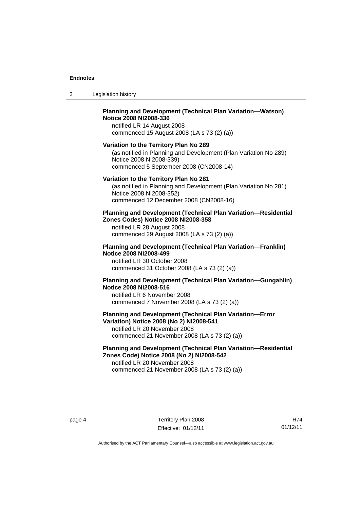| 3 | Legislation history |
|---|---------------------|
|---|---------------------|

### **Planning and Development (Technical Plan Variation—Watson) Notice 2008 NI2008-336**

notified LR 14 August 2008 commenced 15 August 2008 (LA s 73 (2) (a))

#### **Variation to the Territory Plan No 289**

(as notified in Planning and Development (Plan Variation No 289) Notice 2008 NI2008-339) commenced 5 September 2008 (CN2008-14)

#### **Variation to the Territory Plan No 281**

(as notified in Planning and Development (Plan Variation No 281) Notice 2008 NI2008-352) commenced 12 December 2008 (CN2008-16)

#### **Planning and Development (Technical Plan Variation—Residential Zones Codes) Notice 2008 NI2008-358**

notified LR 28 August 2008 commenced 29 August 2008 (LA s 73 (2) (a))

#### **Planning and Development (Technical Plan Variation—Franklin) Notice 2008 NI2008-499**

notified LR 30 October 2008 commenced 31 October 2008 (LA s 73 (2) (a))

### **Planning and Development (Technical Plan Variation—Gungahlin) Notice 2008 NI2008-516**

notified LR 6 November 2008 commenced 7 November 2008 (LA s 73 (2) (a))

#### **Planning and Development (Technical Plan Variation—Error Variation) Notice 2008 (No 2) NI2008-541**

notified LR 20 November 2008 commenced 21 November 2008 (LA s 73 (2) (a))

### **Planning and Development (Technical Plan Variation—Residential Zones Code) Notice 2008 (No 2) NI2008-542**

notified LR 20 November 2008 commenced 21 November 2008 (LA s 73 (2) (a))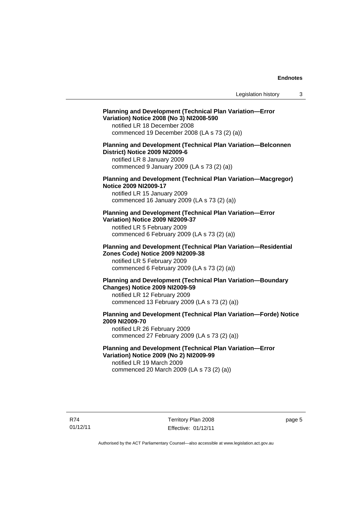#### **Planning and Development (Technical Plan Variation—Error Variation) Notice 2008 (No 3) NI2008-590**

notified LR 18 December 2008 commenced 19 December 2008 (LA s 73 (2) (a))

#### **Planning and Development (Technical Plan Variation—Belconnen District) Notice 2009 NI2009-6**

notified LR 8 January 2009 commenced 9 January 2009 (LA s 73 (2) (a))

#### **Planning and Development (Technical Plan Variation—Macgregor) Notice 2009 NI2009-17**

notified LR 15 January 2009 commenced 16 January 2009 (LA s 73 (2) (a))

#### **Planning and Development (Technical Plan Variation—Error Variation) Notice 2009 NI2009-37**

notified LR 5 February 2009 commenced 6 February 2009 (LA s 73 (2) (a))

#### **Planning and Development (Technical Plan Variation—Residential Zones Code) Notice 2009 NI2009-38**

notified LR 5 February 2009 commenced 6 February 2009 (LA s 73 (2) (a))

#### **Planning and Development (Technical Plan Variation—Boundary Changes) Notice 2009 NI2009-59**

notified LR 12 February 2009 commenced 13 February 2009 (LA s 73 (2) (a))

### **Planning and Development (Technical Plan Variation—Forde) Notice 2009 NI2009-70**

notified LR 26 February 2009 commenced 27 February 2009 (LA s 73 (2) (a))

### **Planning and Development (Technical Plan Variation—Error Variation) Notice 2009 (No 2) NI2009-99**

notified LR 19 March 2009 commenced 20 March 2009 (LA s 73 (2) (a))

page 5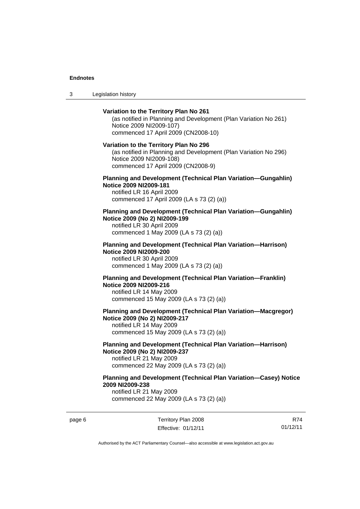3 Legislation history

### **Variation to the Territory Plan No 261**  (as notified in Planning and Development (Plan Variation No 261) Notice 2009 NI2009-107) commenced 17 April 2009 (CN2008-10) **Variation to the Territory Plan No 296**  (as notified in Planning and Development (Plan Variation No 296) Notice 2009 NI2009-108) commenced 17 April 2009 (CN2008-9) **Planning and Development (Technical Plan Variation—Gungahlin) Notice 2009 NI2009-181**  notified LR 16 April 2009 commenced 17 April 2009 (LA s 73 (2) (a)) **Planning and Development (Technical Plan Variation—Gungahlin) Notice 2009 (No 2) NI2009-199**  notified LR 30 April 2009 commenced 1 May 2009 (LA s 73 (2) (a)) **Planning and Development (Technical Plan Variation—Harrison) Notice 2009 NI2009-200**  notified LR 30 April 2009 commenced 1 May 2009 (LA s 73 (2) (a)) **Planning and Development (Technical Plan Variation—Franklin) Notice 2009 NI2009-216**  notified LR 14 May 2009 commenced 15 May 2009 (LA s 73 (2) (a)) **Planning and Development (Technical Plan Variation—Macgregor) Notice 2009 (No 2) NI2009-217**  notified LR 14 May 2009 commenced 15 May 2009 (LA s 73 (2) (a)) **Planning and Development (Technical Plan Variation—Harrison) Notice 2009 (No 2) NI2009-237**  notified LR 21 May 2009 commenced 22 May 2009 (LA s 73 (2) (a)) **Planning and Development (Technical Plan Variation—Casey) Notice**

**2009 NI2009-238** 

notified LR 21 May 2009 commenced 22 May 2009 (LA s 73 (2) (a))

page 6 Territory Plan 2008 Effective: 01/12/11

R74 01/12/11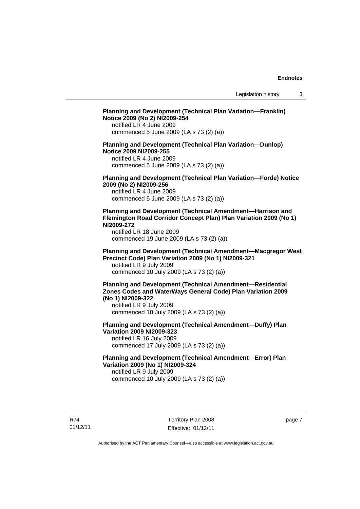### **Planning and Development (Technical Plan Variation—Franklin) Notice 2009 (No 2) NI2009-254**  notified LR 4 June 2009 commenced 5 June 2009 (LA s 73 (2) (a)) **Planning and Development (Technical Plan Variation—Dunlop) Notice 2009 NI2009-255**  notified LR 4 June 2009 commenced 5 June 2009 (LA s 73 (2) (a)) **Planning and Development (Technical Plan Variation—Forde) Notice 2009 (No 2) NI2009-256**  notified LR 4 June 2009 commenced 5 June 2009 (LA s 73 (2) (a)) **Planning and Development (Technical Amendment—Harrison and Flemington Road Corridor Concept Plan) Plan Variation 2009 (No 1) NI2009-272**  notified LR 18 June 2009 commenced 19 June 2009 (LA s 73 (2) (a)) **Planning and Development (Technical Amendment—Macgregor West Precinct Code) Plan Variation 2009 (No 1) NI2009-321**  notified LR 9 July 2009 commenced 10 July 2009 (LA s 73 (2) (a)) **Planning and Development (Technical Amendment—Residential Zones Codes and WaterWays General Code) Plan Variation 2009 (No 1) NI2009-322**  notified LR 9 July 2009 commenced 10 July 2009 (LA s 73 (2) (a)) **Planning and Development (Technical Amendment—Duffy) Plan Variation 2009 NI2009-323**  notified LR 16 July 2009 commenced 17 July 2009 (LA s 73 (2) (a)) **Planning and Development (Technical Amendment—Error) Plan Variation 2009 (No 1) NI2009-324**  notified LR 9 July 2009 commenced 10 July 2009 (LA s 73 (2) (a))

R74 01/12/11 Territory Plan 2008 Effective: 01/12/11 page 7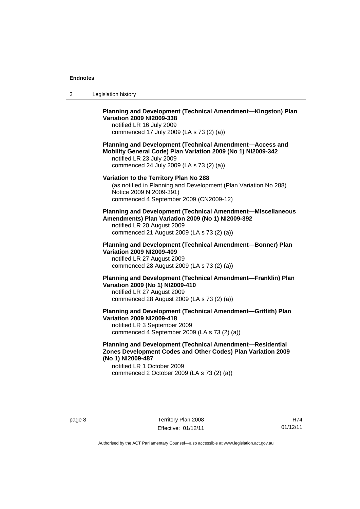| 3 | Legislation history |  |
|---|---------------------|--|
|---|---------------------|--|

### **Planning and Development (Technical Amendment—Kingston) Plan Variation 2009 NI2009-338**

notified LR 16 July 2009 commenced 17 July 2009 (LA s 73 (2) (a))

### **Planning and Development (Technical Amendment—Access and Mobility General Code) Plan Variation 2009 (No 1) NI2009-342**

notified LR 23 July 2009 commenced 24 July 2009 (LA s 73 (2) (a))

### **Variation to the Territory Plan No 288**

(as notified in Planning and Development (Plan Variation No 288) Notice 2009 NI2009-391) commenced 4 September 2009 (CN2009-12)

### **Planning and Development (Technical Amendment—Miscellaneous Amendments) Plan Variation 2009 (No 1) NI2009-392**

notified LR 20 August 2009 commenced 21 August 2009 (LA s 73 (2) (a))

#### **Planning and Development (Technical Amendment—Bonner) Plan Variation 2009 NI2009-409**

notified LR 27 August 2009 commenced 28 August 2009 (LA s 73 (2) (a))

### **Planning and Development (Technical Amendment—Franklin) Plan Variation 2009 (No 1) NI2009-410**  notified LR 27 August 2009

commenced 28 August 2009 (LA s 73 (2) (a))

### **Planning and Development (Technical Amendment—Griffith) Plan Variation 2009 NI2009-418**

notified LR 3 September 2009 commenced 4 September 2009 (LA s 73 (2) (a))

#### **Planning and Development (Technical Amendment—Residential Zones Development Codes and Other Codes) Plan Variation 2009 (No 1) NI2009-487**

notified LR 1 October 2009 commenced 2 October 2009 (LA s 73 (2) (a))

R74 01/12/11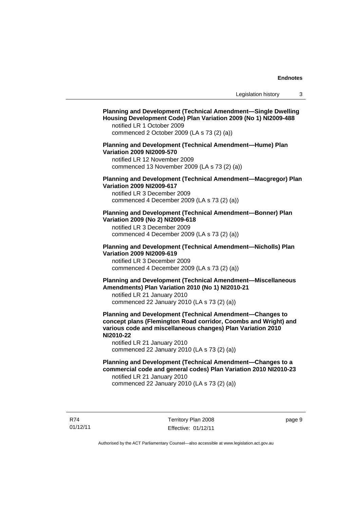### **Planning and Development (Technical Amendment—Single Dwelling Housing Development Code) Plan Variation 2009 (No 1) NI2009-488**  notified LR 1 October 2009 commenced 2 October 2009 (LA s 73 (2) (a)) **Planning and Development (Technical Amendment—Hume) Plan Variation 2009 NI2009-570**  notified LR 12 November 2009 commenced 13 November 2009 (LA s 73 (2) (a)) **Planning and Development (Technical Amendment—Macgregor) Plan Variation 2009 NI2009-617**  notified LR 3 December 2009 commenced 4 December 2009 (LA s 73 (2) (a)) **Planning and Development (Technical Amendment—Bonner) Plan Variation 2009 (No 2) NI2009-618**  notified LR 3 December 2009 commenced 4 December 2009 (LA s 73 (2) (a)) **Planning and Development (Technical Amendment—Nicholls) Plan Variation 2009 NI2009-619**  notified LR 3 December 2009 commenced 4 December 2009 (LA s 73 (2) (a)) **Planning and Development (Technical Amendment—Miscellaneous Amendments) Plan Variation 2010 (No 1) NI2010-21**  notified LR 21 January 2010 commenced 22 January 2010 (LA s 73 (2) (a)) **Planning and Development (Technical Amendment—Changes to concept plans (Flemington Road corridor, Coombs and Wright) and various code and miscellaneous changes) Plan Variation 2010 NI2010-22**  notified LR 21 January 2010 commenced 22 January 2010 (LA s 73 (2) (a)) **Planning and Development (Technical Amendment—Changes to a commercial code and general codes) Plan Variation 2010 NI2010-23**  notified LR 21 January 2010 commenced 22 January 2010 (LA s 73 (2) (a))

R74 01/12/11 Territory Plan 2008 Effective: 01/12/11 page 9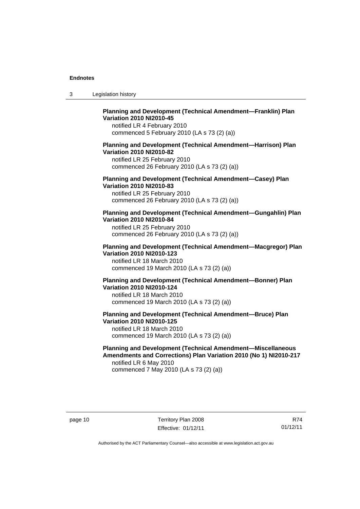| -3 | Legislation history |  |
|----|---------------------|--|
|----|---------------------|--|

### **Planning and Development (Technical Amendment—Franklin) Plan Variation 2010 NI2010-45**

notified LR 4 February 2010 commenced 5 February 2010 (LA s 73 (2) (a))

#### **Planning and Development (Technical Amendment—Harrison) Plan Variation 2010 NI2010-82**

notified LR 25 February 2010 commenced 26 February 2010 (LA s 73 (2) (a))

### **Planning and Development (Technical Amendment—Casey) Plan Variation 2010 NI2010-83**

notified LR 25 February 2010 commenced 26 February 2010 (LA s 73 (2) (a))

#### **Planning and Development (Technical Amendment—Gungahlin) Plan Variation 2010 NI2010-84**

notified LR 25 February 2010 commenced 26 February 2010 (LA s 73 (2) (a))

#### **Planning and Development (Technical Amendment—Macgregor) Plan Variation 2010 NI2010-123**

notified LR 18 March 2010 commenced 19 March 2010 (LA s 73 (2) (a))

#### **Planning and Development (Technical Amendment—Bonner) Plan Variation 2010 NI2010-124**

notified LR 18 March 2010 commenced 19 March 2010 (LA s 73 (2) (a))

#### **Planning and Development (Technical Amendment—Bruce) Plan Variation 2010 NI2010-125**  notified LR 18 March 2010

commenced 19 March 2010 (LA s 73 (2) (a))

#### **Planning and Development (Technical Amendment—Miscellaneous Amendments and Corrections) Plan Variation 2010 (No 1) NI2010-217**  notified LR 6 May 2010

commenced 7 May 2010 (LA s 73 (2) (a))

R74 01/12/11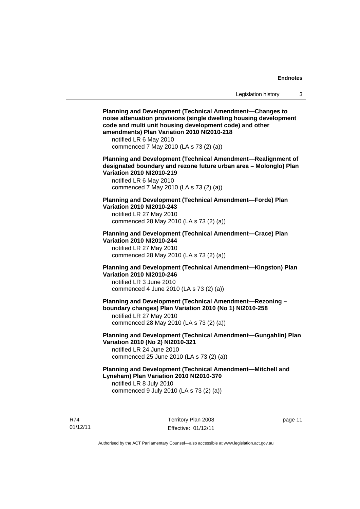**Planning and Development (Technical Amendment—Changes to noise attenuation provisions (single dwelling housing development code and multi unit housing development code) and other amendments) Plan Variation 2010 NI2010-218**  notified LR 6 May 2010 commenced 7 May 2010 (LA s 73 (2) (a)) **Planning and Development (Technical Amendment—Realignment of designated boundary and rezone future urban area – Molonglo) Plan Variation 2010 NI2010-219**  notified LR 6 May 2010 commenced 7 May 2010 (LA s 73 (2) (a)) **Planning and Development (Technical Amendment—Forde) Plan Variation 2010 NI2010-243**  notified LR 27 May 2010 commenced 28 May 2010 (LA s 73 (2) (a)) **Planning and Development (Technical Amendment—Crace) Plan Variation 2010 NI2010-244**  notified LR 27 May 2010 commenced 28 May 2010 (LA s 73 (2) (a)) **Planning and Development (Technical Amendment—Kingston) Plan Variation 2010 NI2010-246**  notified LR 3 June 2010 commenced 4 June 2010 (LA s 73 (2) (a)) **Planning and Development (Technical Amendment—Rezoning – boundary changes) Plan Variation 2010 (No 1) NI2010-258**  notified LR 27 May 2010 commenced 28 May 2010 (LA s 73 (2) (a)) **Planning and Development (Technical Amendment—Gungahlin) Plan Variation 2010 (No 2) NI2010-321**  notified LR 24 June 2010 commenced 25 June 2010 (LA s 73 (2) (a)) **Planning and Development (Technical Amendment—Mitchell and Lyneham) Plan Variation 2010 NI2010-370**  notified LR 8 July 2010 commenced 9 July 2010 (LA s 73 (2) (a))

R74 01/12/11 Territory Plan 2008 Effective: 01/12/11 page 11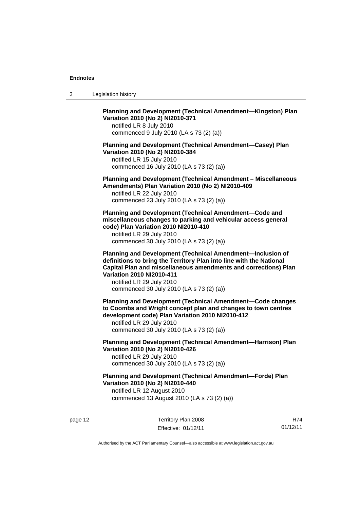3 Legislation history

**Planning and Development (Technical Amendment—Kingston) Plan Variation 2010 (No 2) NI2010-371** 

notified LR 8 July 2010 commenced 9 July 2010 (LA s 73 (2) (a))

**Planning and Development (Technical Amendment—Casey) Plan Variation 2010 (No 2) NI2010-384** 

notified LR 15 July 2010 commenced 16 July 2010 (LA s 73 (2) (a))

**Planning and Development (Technical Amendment – Miscellaneous Amendments) Plan Variation 2010 (No 2) NI2010-409** 

notified LR 22 July 2010 commenced 23 July 2010 (LA s 73 (2) (a))

**Planning and Development (Technical Amendment—Code and miscellaneous changes to parking and vehicular access general code) Plan Variation 2010 NI2010-410** 

notified LR 29 July 2010 commenced 30 July 2010 (LA s 73 (2) (a))

**Planning and Development (Technical Amendment—Inclusion of definitions to bring the Territory Plan into line with the National Capital Plan and miscellaneous amendments and corrections) Plan Variation 2010 NI2010-411** 

notified LR 29 July 2010 commenced 30 July 2010 (LA s 73 (2) (a))

**Planning and Development (Technical Amendment—Code changes to Coombs and Wright concept plan and changes to town centres development code) Plan Variation 2010 NI2010-412** 

notified LR 29 July 2010 commenced 30 July 2010 (LA s 73 (2) (a))

**Planning and Development (Technical Amendment—Harrison) Plan Variation 2010 (No 2) NI2010-426**  notified LR 29 July 2010 commenced 30 July 2010 (LA s 73 (2) (a))

**Planning and Development (Technical Amendment—Forde) Plan Variation 2010 (No 2) NI2010-440** 

notified LR 12 August 2010 commenced 13 August 2010 (LA s 73 (2) (a))

page 12 Territory Plan 2008 Effective: 01/12/11

R74 01/12/11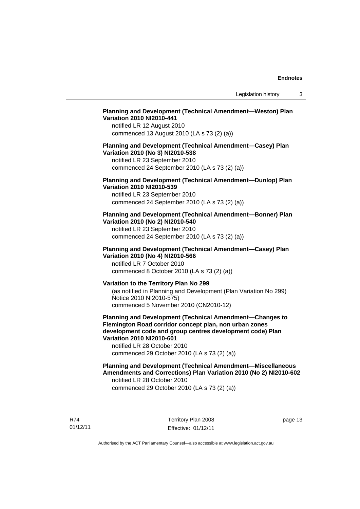### **Planning and Development (Technical Amendment—Weston) Plan Variation 2010 NI2010-441**

notified LR 12 August 2010 commenced 13 August 2010 (LA s 73 (2) (a))

#### **Planning and Development (Technical Amendment—Casey) Plan Variation 2010 (No 3) NI2010-538**

notified LR 23 September 2010 commenced 24 September 2010 (LA s 73 (2) (a))

### **Planning and Development (Technical Amendment—Dunlop) Plan Variation 2010 NI2010-539**

notified LR 23 September 2010 commenced 24 September 2010 (LA s 73 (2) (a))

#### **Planning and Development (Technical Amendment—Bonner) Plan Variation 2010 (No 2) NI2010-540**

notified LR 23 September 2010 commenced 24 September 2010 (LA s 73 (2) (a))

### **Planning and Development (Technical Amendment—Casey) Plan Variation 2010 (No 4) NI2010-566**

notified LR 7 October 2010 commenced 8 October 2010 (LA s 73 (2) (a))

### **Variation to the Territory Plan No 299**

(as notified in Planning and Development (Plan Variation No 299) Notice 2010 NI2010-575) commenced 5 November 2010 (CN2010-12)

#### **Planning and Development (Technical Amendment—Changes to Flemington Road corridor concept plan, non urban zones development code and group centres development code) Plan Variation 2010 NI2010-601**

notified LR 28 October 2010 commenced 29 October 2010 (LA s 73 (2) (a))

#### **Planning and Development (Technical Amendment—Miscellaneous Amendments and Corrections) Plan Variation 2010 (No 2) NI2010-602**  notified LR 28 October 2010

commenced 29 October 2010 (LA s 73 (2) (a))

R74 01/12/11 Territory Plan 2008 Effective: 01/12/11 page 13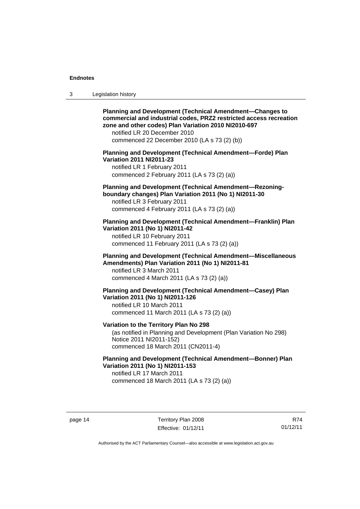| 3 | Legislation history |  |
|---|---------------------|--|
|---|---------------------|--|

**Planning and Development (Technical Amendment—Changes to commercial and industrial codes, PRZ2 restricted access recreation zone and other codes) Plan Variation 2010 NI2010-697**  notified LR 20 December 2010 commenced 22 December 2010 (LA s 73 (2) (b)) **Planning and Development (Technical Amendment—Forde) Plan Variation 2011 NI2011-23**  notified LR 1 February 2011 commenced 2 February 2011 (LA s 73 (2) (a)) **Planning and Development (Technical Amendment—Rezoningboundary changes) Plan Variation 2011 (No 1) NI2011-30**  notified LR 3 February 2011 commenced 4 February 2011 (LA s 73 (2) (a)) **Planning and Development (Technical Amendment—Franklin) Plan Variation 2011 (No 1) NI2011-42**  notified LR 10 February 2011 commenced 11 February 2011 (LA s 73 (2) (a)) **Planning and Development (Technical Amendment—Miscellaneous Amendments) Plan Variation 2011 (No 1) NI2011-81**  notified LR 3 March 2011 commenced 4 March 2011 (LA s 73 (2) (a)) **Planning and Development (Technical Amendment—Casey) Plan Variation 2011 (No 1) NI2011-126**  notified LR 10 March 2011 commenced 11 March 2011 (LA s 73 (2) (a)) **Variation to the Territory Plan No 298**  (as notified in Planning and Development (Plan Variation No 298) Notice 2011 NI2011-152) commenced 18 March 2011 (CN2011-4) **Planning and Development (Technical Amendment—Bonner) Plan Variation 2011 (No 1) NI2011-153**  notified LR 17 March 2011 commenced 18 March 2011 (LA s 73 (2) (a))

page 14 Territory Plan 2008 Effective: 01/12/11

R74 01/12/11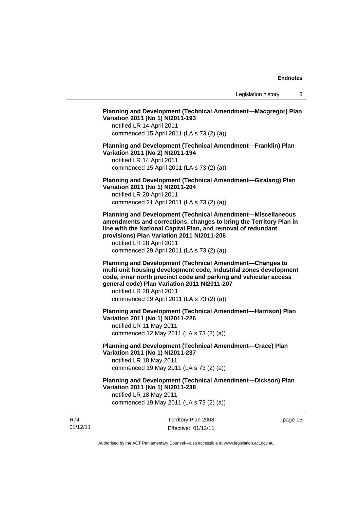Legislation history 3

### **Planning and Development (Technical Amendment—Macgregor) Plan Variation 2011 (No 1) NI2011-193**

notified LR 14 April 2011 commenced 15 April 2011 (LA s 73 (2) (a))

#### **Planning and Development (Technical Amendment—Franklin) Plan Variation 2011 (No 2) NI2011-194**

notified LR 14 April 2011 commenced 15 April 2011 (LA s 73 (2) (a))

**Planning and Development (Technical Amendment—Giralang) Plan Variation 2011 (No 1) NI2011-204** 

notified LR 20 April 2011 commenced 21 April 2011 (LA s 73 (2) (a))

**Planning and Development (Technical Amendment—Miscellaneous amendments and corrections, changes to bring the Territory Plan in line with the National Capital Plan, and removal of redundant provisions) Plan Variation 2011 NI2011-206** 

notified LR 28 April 2011 commenced 29 April 2011 (LA s 73 (2) (a))

**Planning and Development (Technical Amendment—Changes to multi unit housing development code, industrial zones development code, inner north precinct code and parking and vehicular access general code) Plan Variation 2011 NI2011-207** 

notified LR 28 April 2011 commenced 29 April 2011 (LA s 73 (2) (a))

**Planning and Development (Technical Amendment—Harrison) Plan Variation 2011 (No 1) NI2011-226** 

notified LR 11 May 2011 commenced 12 May 2011 (LA s 73 (2) (a))

**Planning and Development (Technical Amendment—Crace) Plan Variation 2011 (No 1) NI2011-237**  notified LR 18 May 2011

commenced 19 May 2011 (LA s 73 (2) (a))

**Planning and Development (Technical Amendment—Dickson) Plan Variation 2011 (No 1) NI2011-238** 

notified LR 18 May 2011 commenced 19 May 2011 (LA s 73 (2) (a))

| R74      | Territory Plan 2008 | page 15 |
|----------|---------------------|---------|
| 01/12/11 | Effective: 01/12/11 |         |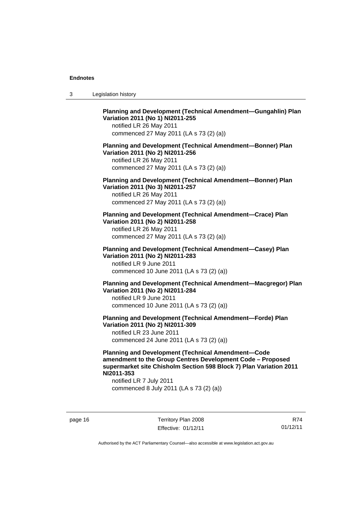**Planning and Development (Technical Amendment—Gungahlin) Plan Variation 2011 (No 1) NI2011-255**  notified LR 26 May 2011 commenced 27 May 2011 (LA s 73 (2) (a)) **Planning and Development (Technical Amendment—Bonner) Plan Variation 2011 (No 2) NI2011-256**  notified LR 26 May 2011 commenced 27 May 2011 (LA s 73 (2) (a)) **Planning and Development (Technical Amendment—Bonner) Plan Variation 2011 (No 3) NI2011-257**  notified LR 26 May 2011 commenced 27 May 2011 (LA s 73 (2) (a)) **Planning and Development (Technical Amendment—Crace) Plan Variation 2011 (No 2) NI2011-258**  notified LR 26 May 2011 commenced 27 May 2011 (LA s 73 (2) (a)) **Planning and Development (Technical Amendment—Casey) Plan Variation 2011 (No 2) NI2011-283**  notified LR 9 June 2011 commenced 10 June 2011 (LA s 73 (2) (a)) **Planning and Development (Technical Amendment—Macgregor) Plan Variation 2011 (No 2) NI2011-284**  notified LR 9 June 2011 commenced 10 June 2011 (LA s 73 (2) (a)) **Planning and Development (Technical Amendment—Forde) Plan Variation 2011 (No 2) NI2011-309**  notified LR 23 June 2011 commenced 24 June 2011 (LA s 73 (2) (a)) **Planning and Development (Technical Amendment—Code** 

**amendment to the Group Centres Development Code – Proposed supermarket site Chisholm Section 598 Block 7) Plan Variation 2011 NI2011-353** 

notified LR 7 July 2011 commenced 8 July 2011 (LA s 73 (2) (a))

page 16 Territory Plan 2008 Effective: 01/12/11

R74 01/12/11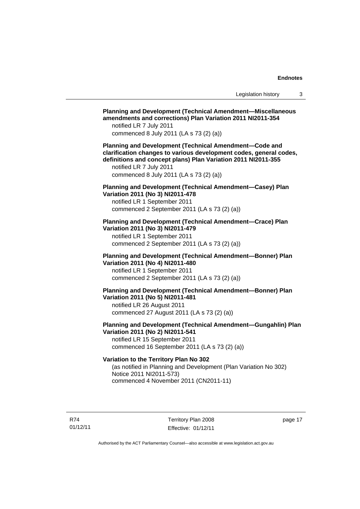**Planning and Development (Technical Amendment—Miscellaneous amendments and corrections) Plan Variation 2011 NI2011-354**  notified LR 7 July 2011 commenced 8 July 2011 (LA s 73 (2) (a)) **Planning and Development (Technical Amendment—Code and clarification changes to various development codes, general codes, definitions and concept plans) Plan Variation 2011 NI2011-355**  notified LR 7 July 2011 commenced 8 July 2011 (LA s 73 (2) (a)) **Planning and Development (Technical Amendment—Casey) Plan Variation 2011 (No 3) NI2011-478**  notified LR 1 September 2011 commenced 2 September 2011 (LA s 73 (2) (a)) **Planning and Development (Technical Amendment—Crace) Plan Variation 2011 (No 3) NI2011-479**  notified LR 1 September 2011 commenced 2 September 2011 (LA s 73 (2) (a)) **Planning and Development (Technical Amendment—Bonner) Plan Variation 2011 (No 4) NI2011-480**  notified LR 1 September 2011 commenced 2 September 2011 (LA s 73 (2) (a)) **Planning and Development (Technical Amendment—Bonner) Plan Variation 2011 (No 5) NI2011-481**  notified LR 26 August 2011 commenced 27 August 2011 (LA s 73 (2) (a)) **Planning and Development (Technical Amendment—Gungahlin) Plan Variation 2011 (No 2) NI2011-541**  notified LR 15 September 2011 commenced 16 September 2011 (LA s 73 (2) (a)) **Variation to the Territory Plan No 302**  (as notified in Planning and Development (Plan Variation No 302) Notice 2011 NI2011-573) commenced 4 November 2011 (CN2011-11)

R74 01/12/11 Territory Plan 2008 Effective: 01/12/11 page 17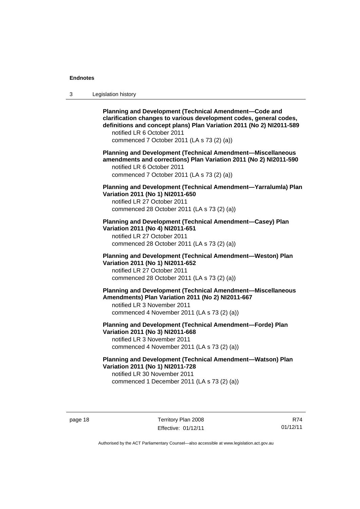| -3 | Legislation history |  |
|----|---------------------|--|
|----|---------------------|--|

**Planning and Development (Technical Amendment—Code and clarification changes to various development codes, general codes, definitions and concept plans) Plan Variation 2011 (No 2) NI2011-589**  notified LR 6 October 2011 commenced 7 October 2011 (LA s 73 (2) (a))

**Planning and Development (Technical Amendment—Miscellaneous amendments and corrections) Plan Variation 2011 (No 2) NI2011-590**  notified LR 6 October 2011 commenced 7 October 2011 (LA s 73 (2) (a))

**Planning and Development (Technical Amendment—Yarralumla) Plan Variation 2011 (No 1) NI2011-650** 

notified LR 27 October 2011 commenced 28 October 2011 (LA s 73 (2) (a))

**Planning and Development (Technical Amendment—Casey) Plan Variation 2011 (No 4) NI2011-651** 

notified LR 27 October 2011 commenced 28 October 2011 (LA s 73 (2) (a))

**Planning and Development (Technical Amendment—Weston) Plan Variation 2011 (No 1) NI2011-652**  notified LR 27 October 2011 commenced 28 October 2011 (LA s 73 (2) (a))

**Planning and Development (Technical Amendment—Miscellaneous Amendments) Plan Variation 2011 (No 2) NI2011-667** 

notified LR 3 November 2011 commenced 4 November 2011 (LA s 73 (2) (a))

**Planning and Development (Technical Amendment—Forde) Plan Variation 2011 (No 3) NI2011-668** 

notified LR 3 November 2011 commenced 4 November 2011 (LA s 73 (2) (a))

**Planning and Development (Technical Amendment—Watson) Plan Variation 2011 (No 1) NI2011-728**  notified LR 30 November 2011

commenced 1 December 2011 (LA s 73 (2) (a))

page 18 Territory Plan 2008 Effective: 01/12/11

R74 01/12/11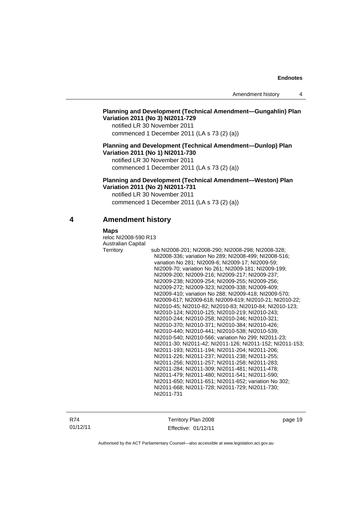### **Planning and Development (Technical Amendment—Gungahlin) Plan Variation 2011 (No 3) NI2011-729**

notified LR 30 November 2011 commenced 1 December 2011 (LA s 73 (2) (a))

#### **Planning and Development (Technical Amendment—Dunlop) Plan Variation 2011 (No 1) NI2011-730**

notified LR 30 November 2011 commenced 1 December 2011 (LA s 73 (2) (a))

**Planning and Development (Technical Amendment—Weston) Plan Variation 2011 (No 2) NI2011-731** 

notified LR 30 November 2011 commenced 1 December 2011 (LA s 73 (2) (a))

### **4 Amendment history**

#### **Maps**

reloc NI2008-590 R13 Australian Capital Territory sub NI2008-201; NI2008-290; NI2008-298; NI2008-328; NI2008-336; variation No 289; NI2008-499; NI2008-516; variation No 281; NI2009-6; NI2009-17; NI2009-59; NI2009-70; variation No 261; NI2009-181; NI2009-199; NI2009-200; NI2009-216; NI2009-217; NI2009-237; NI2009-238; NI2009-254; NI2009-255; NI2009-256; NI2009-272; NI2009-323; NI2009-338; NI2009-409; NI2009-410; variation No 288; NI2009-418; NI2009-570; NI2009-617; NI2009-618; NI2009-619; NI2010-21; NI2010-22; NI2010-45; NI2010-82; NI2010-83; NI2010-84; NI2010-123; NI2010-124; NI2010-125; NI2010-219; NI2010-243; NI2010-244; NI2010-258; NI2010-246; NI2010-321; NI2010-370; NI2010-371; NI2010-384; NI2010-426; NI2010-440; NI2010-441; NI2010-538; NI2010-539; NI2010-540; NI2010-566; variation No 299; NI2011-23; NI2011-30; NI2011-42; NI2011-126; NI2011-152; NI2011-153; NI2011-193; NI2011-194; NI2011-204; NI2011-206; NI2011-226; NI2011-237; NI2011-238; NI2011-255; NI2011-256; NI2011-257; NI2011-258; NI2011-283; NI2011-284; NI2011-309; NI2011-481; NI2011-478; NI2011-479; NI2011-480; NI2011-541; NI2011-590; NI2011-650; NI2011-651; NI2011-652; variation No 302; NI2011-668; NI2011-728; NI2011-729; NI2011-730; NI2011-731

R74 01/12/11 Territory Plan 2008 Effective: 01/12/11 page 19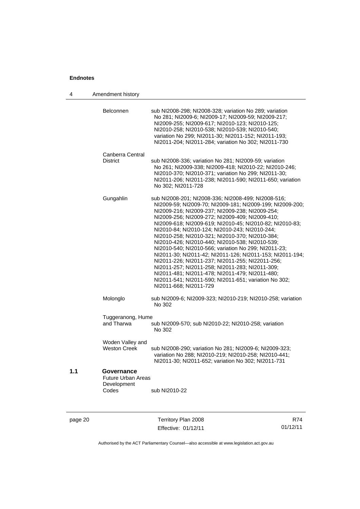| 4       | Amendment history                                               |                                                                                                                                                                                                                                                                                                                                                                                                                                                                                                                                                                                                                                                                                                                                                                                                              |     |
|---------|-----------------------------------------------------------------|--------------------------------------------------------------------------------------------------------------------------------------------------------------------------------------------------------------------------------------------------------------------------------------------------------------------------------------------------------------------------------------------------------------------------------------------------------------------------------------------------------------------------------------------------------------------------------------------------------------------------------------------------------------------------------------------------------------------------------------------------------------------------------------------------------------|-----|
|         | Belconnen                                                       | sub NI2008-298; NI2008-328; variation No 289; variation<br>No 281; NI2009-6; NI2009-17; NI2009-59; NI2009-217;<br>NI2009-255; NI2009-617; NI2010-123; NI2010-125;<br>NI2010-258; NI2010-538; NI2010-539; NI2010-540;<br>variation No 299; NI2011-30; NI2011-152; NI2011-193;<br>NI2011-204; NI2011-284; variation No 302; NI2011-730                                                                                                                                                                                                                                                                                                                                                                                                                                                                         |     |
|         | Canberra Central<br><b>District</b>                             | sub NI2008-336; variation No 281; NI2009-59; variation<br>No 261; NI2009-338; NI2009-418; NI2010-22; NI2010-246;<br>NI2010-370; NI2010-371; variation No 299; NI2011-30;<br>NI2011-206; NI2011-238; NI2011-590; NI2011-650; variation<br>No 302; NI2011-728                                                                                                                                                                                                                                                                                                                                                                                                                                                                                                                                                  |     |
|         | Gungahlin                                                       | sub NI2008-201; NI2008-336; NI2008-499; NI2008-516;<br>NI2009-59; NI2009-70; NI2009-181; NI2009-199; NI2009-200;<br>NI2009-216; NI2009-237; NI2009-238; NI2009-254;<br>NI2009-256; NI2009-272; NI2009-409; NI2009-410;<br>NI2009-618; NI2009-619; NI2010-45; NI2010-82; NI2010-83;<br>NI2010-84; NI2010-124; NI2010-243; NI2010-244;<br>NI2010-258; NI2010-321; NI2010-370; NI2010-384;<br>NI2010-426; NI2010-440; NI2010-538; NI2010-539;<br>NI2010-540; NI2010-566; variation No 299; NI2011-23;<br>NI2011-30; NI2011-42; NI2011-126; NI2011-153; NI2011-194;<br>NI2011-226; NI2011-237; NI2011-255; NI22011-256;<br>NI2011-257; NI2011-258; NI2011-283; NI2011-309;<br>NI2011-481; NI2011-478; NI2011-479; NI2011-480;<br>NI2011-541; NI2011-590; NI2011-651; variation No 302;<br>NI2011-668; NI2011-729 |     |
|         | Molonglo                                                        | sub NI2009-6; NI2009-323; NI2010-219; NI2010-258; variation<br>No 302                                                                                                                                                                                                                                                                                                                                                                                                                                                                                                                                                                                                                                                                                                                                        |     |
|         | Tuggeranong, Hume<br>and Tharwa                                 | sub NI2009-570; sub NI2010-22; NI2010-258; variation<br>No 302                                                                                                                                                                                                                                                                                                                                                                                                                                                                                                                                                                                                                                                                                                                                               |     |
|         | Woden Valley and<br><b>Weston Creek</b>                         | sub NI2008-290; variation No 281; NI2009-6; NI2009-323;<br>variation No 288; NI2010-219; NI2010-258; NI2010-441;<br>NI2011-30; NI2011-652; variation No 302; NI2011-731                                                                                                                                                                                                                                                                                                                                                                                                                                                                                                                                                                                                                                      |     |
| 1.1     | Governance<br><b>Future Urban Areas</b><br>Development<br>Codes | sub NI2010-22                                                                                                                                                                                                                                                                                                                                                                                                                                                                                                                                                                                                                                                                                                                                                                                                |     |
| page 20 |                                                                 | Territory Plan 2008                                                                                                                                                                                                                                                                                                                                                                                                                                                                                                                                                                                                                                                                                                                                                                                          | R74 |

Authorised by the ACT Parliamentary Counsel—also accessible at www.legislation.act.gov.au

01/12/11

Effective: 01/12/11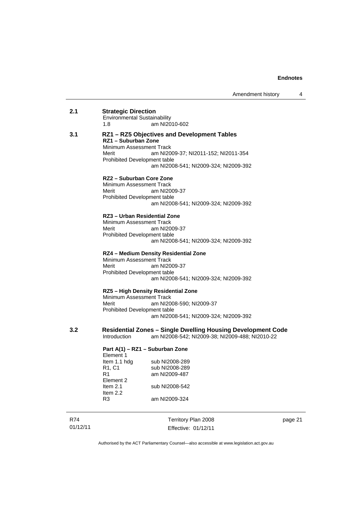| 2.1 | <b>Strategic Direction</b><br><b>Environmental Sustainability</b><br>1.8                                                         | am NI2010-602                                                                                                                |
|-----|----------------------------------------------------------------------------------------------------------------------------------|------------------------------------------------------------------------------------------------------------------------------|
|     |                                                                                                                                  |                                                                                                                              |
| 3.1 | RZ1 - Suburban Zone<br>Minimum Assessment Track<br>Merit<br>Prohibited Development table                                         | RZ1 - RZ5 Objectives and Development Tables<br>am NI2009-37; NI2011-152; NI2011-354<br>am NI2008-541; NI2009-324; NI2009-392 |
|     | RZ2 - Suburban Core Zone<br>Minimum Assessment Track<br>Merit<br>Prohibited Development table                                    | am NI2009-37<br>am NI2008-541; NI2009-324; NI2009-392                                                                        |
|     | RZ3 – Urban Residential Zone<br>Minimum Assessment Track<br>Merit<br>Prohibited Development table                                | am NI2009-37<br>am NI2008-541; NI2009-324; NI2009-392                                                                        |
|     | Minimum Assessment Track<br>Merit<br>Prohibited Development table                                                                | RZ4 - Medium Density Residential Zone<br>am NI2009-37<br>am NI2008-541; NI2009-324; NI2009-392                               |
|     | Minimum Assessment Track<br>Merit<br>Prohibited Development table                                                                | RZ5 - High Density Residential Zone<br>am NI2008-590; NI2009-37<br>am NI2008-541; NI2009-324; NI2009-392                     |
| 3.2 | Introduction                                                                                                                     | <b>Residential Zones – Single Dwelling Housing Development Code</b><br>am NI2008-542; NI2009-38; NI2009-488; NI2010-22       |
|     | Part A(1) - RZ1 - Suburban Zone<br>Element 1<br>Item 1.1 hdg<br>R <sub>1</sub> , C <sub>1</sub><br>R1<br>Element 2<br>Item $2.1$ | sub NI2008-289<br>sub NI2008-289<br>am NI2009-487<br>sub NI2008-542                                                          |

page 21

Authorised by the ACT Parliamentary Counsel—also accessible at www.legislation.act.gov.au

am NI2009-324

Territory Plan 2008 Effective: 01/12/11

R74 01/12/11 Item 2.2<br>R3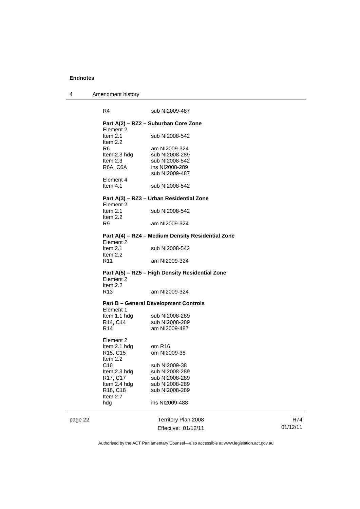page 22

| Amendment history |
|-------------------|
|                   |

| R4                                | sub NI2009-487                                    |  |
|-----------------------------------|---------------------------------------------------|--|
| Element 2                         | Part A(2) - RZ2 - Suburban Core Zone              |  |
| Item $2.1$<br>Item $2.2$          | sub NI2008-542                                    |  |
| R6                                | am NI2009-324                                     |  |
| Item 2.3 hdg                      | sub NI2008-289                                    |  |
| Item $2.3$                        | sub NI2008-542                                    |  |
| R6A, C6A                          | ins NI2008-289                                    |  |
|                                   | sub NI2009-487                                    |  |
| Element 4                         |                                                   |  |
| Item $4.1$                        | sub NI2008-542                                    |  |
|                                   | Part A(3) - RZ3 - Urban Residential Zone          |  |
| Element 2<br>Item $2.1$           | sub NI2008-542                                    |  |
| Item $2.2$                        |                                                   |  |
| R9                                | am NI2009-324                                     |  |
| Element 2                         | Part A(4) - RZ4 - Medium Density Residential Zone |  |
| Item $2.1$                        | sub NI2008-542                                    |  |
| Item $2.2$                        |                                                   |  |
| R11                               | am NI2009-324                                     |  |
|                                   | Part A(5) - RZ5 - High Density Residential Zone   |  |
| Element 2<br>Item $2.2$           |                                                   |  |
| R <sub>13</sub>                   | am NI2009-324                                     |  |
|                                   | <b>Part B - General Development Controls</b>      |  |
| Element 1                         |                                                   |  |
| Item 1.1 hdg                      | sub NI2008-289                                    |  |
| R14, C14                          | sub NI2008-289                                    |  |
| R <sub>14</sub>                   | am NI2009-487                                     |  |
| Element 2                         |                                                   |  |
| Item 2.1 hdg                      | om R16                                            |  |
| R <sub>15</sub> , C <sub>15</sub> | om NI2009-38                                      |  |
| Item 2.2                          |                                                   |  |
| C16                               | sub NI2009-38                                     |  |
| Item 2.3 hdg                      | sub NI2008-289                                    |  |
| R17, C17                          | sub NI2008-289                                    |  |
| Item 2.4 hdg<br>R18, C18          | sub NI2008-289<br>sub NI2008-289                  |  |
| Item 2.7                          |                                                   |  |
| hdg                               | ins NI2009-488                                    |  |
|                                   | Territory Plan 2008                               |  |

Effective: 01/12/11

R74 01/12/11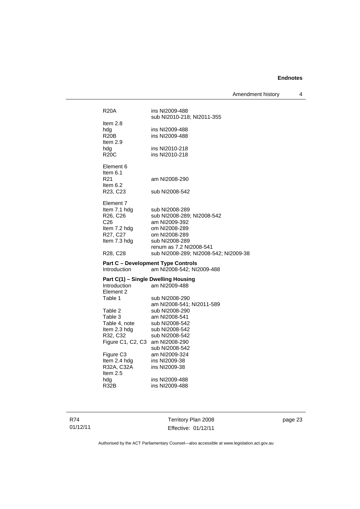Amendment history 4

| <b>R20A</b>                                         | ins NI2009-488<br>sub NI2010-218; NI2011-355 |
|-----------------------------------------------------|----------------------------------------------|
| Item $2.8$                                          |                                              |
| hdg                                                 | ins NI2009-488                               |
| <b>R20B</b>                                         | ins NI2009-488                               |
| Item $2.9$                                          |                                              |
| hdg                                                 | ins NI2010-218                               |
| R20C                                                | ins NI2010-218                               |
| Element 6                                           |                                              |
| Item $6.1$                                          |                                              |
| R <sub>21</sub>                                     | am NI2008-290                                |
| Item $6.2$                                          |                                              |
| R23, C23                                            | sub NI2008-542                               |
| Element 7                                           |                                              |
| Item 7.1 hdg                                        | sub NI2008-289                               |
| R26, C26                                            | sub NI2008-289; NI2008-542                   |
| C <sub>26</sub>                                     | am NI2009-392                                |
| Item 7.2 hdg                                        | om NI2008-289                                |
| R27, C27<br>Item 7.3 hdg                            | om NI2008-289<br>sub NI2008-289              |
|                                                     | renum as 7.2 NI2008-541                      |
| R <sub>28</sub> , C <sub>28</sub>                   | sub NI2008-289; NI2008-542; NI2009-38        |
|                                                     | <b>Part C - Development Type Controls</b>    |
| <b>Introduction</b>                                 | am NI2008-542; NI2009-488                    |
|                                                     |                                              |
| Part C(1) - Single Dwelling Housing<br>Introduction | am NI2009-488                                |
| Element 2                                           |                                              |
| Table 1                                             | sub NI2008-290                               |
|                                                     | am NI2008-541; NI2011-589                    |
| Table 2                                             | sub NI2008-290                               |
| Table 3                                             | am NI2008-541                                |
| Table 4, note                                       | sub NI2008-542                               |
| Item 2.3 hdg<br>R32, C32                            | sub NI2008-542<br>sub NI2008-542             |
| Figure C1, C2, C3 am NI2008-290                     |                                              |
|                                                     | sub NI2008-542                               |
| Figure C <sub>3</sub>                               | am NI2009-324                                |
| Item 2.4 hdg                                        | ins NI2009-38                                |
|                                                     |                                              |
| R32A, C32A                                          | ins NI2009-38                                |
| Item 2.5                                            |                                              |
| hdg                                                 | ins NI2009-488                               |
| R32B                                                | ins NI2009-488                               |

R74 01/12/11

Territory Plan 2008 Effective: 01/12/11 page 23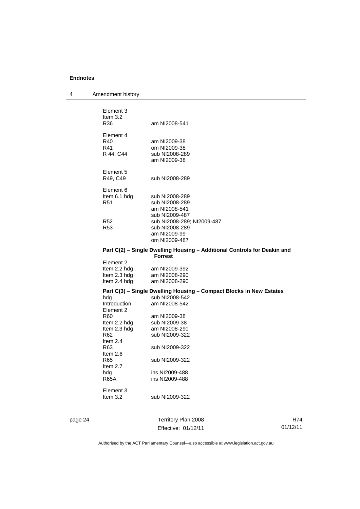4 Amendment history

| Element 3<br>Item $3.2$<br>R36               | am NI2008-541                                                       |
|----------------------------------------------|---------------------------------------------------------------------|
| Element 4<br>R40<br>R41<br>R 44, C44         | am NI2009-38<br>om NI2009-38<br>sub NI2008-289<br>am NI2009-38      |
| Element 5<br>R49, C49                        | sub NI2008-289                                                      |
| Element 6<br>Item 6.1 hdg<br>R <sub>51</sub> | sub NI2008-289<br>sub NI2008-289<br>am NI2008-541<br>sub NI2009-487 |
| R <sub>52</sub><br>R53                       | sub NI2008-289; NI2009-487<br>sub NI2008-289<br>am NI2009-99        |

#### **Part C(2) – Single Dwelling Housing – Additional Controls for Deakin and Forrest**

| Element 2    |               |
|--------------|---------------|
| Item 2.2 hdg | am NI2009-392 |
| Item 2.3 hdg | am NI2008-290 |
| Item 2.4 hdg | am NI2008-290 |
|              |               |

### **Part C(3) – Single Dwelling Housing – Compact Blocks in New Estates**

| sub NI2008-542 |
|----------------|
| am NI2008-542  |
|                |
| am NI2009-38   |
| sub NI2009-38  |
| am NI2008-290  |
| sub NI2009-322 |
|                |
| sub NI2009-322 |
|                |
| sub NI2009-322 |
|                |
| ins NI2009-488 |
| ins NI2009-488 |
|                |
|                |
| sub NI2009-322 |
|                |

om NI2009-487

page 24 Territory Plan 2008 Effective: 01/12/11

R74 01/12/11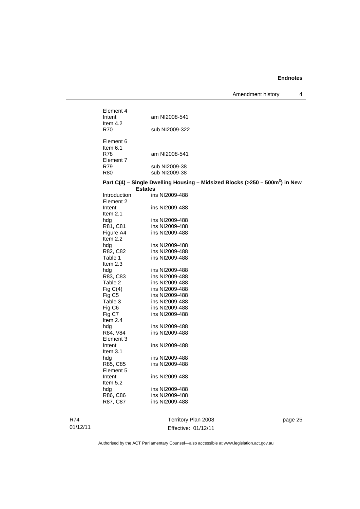| R87, C87                         | ins NI2009-488                   |                                                                                 |
|----------------------------------|----------------------------------|---------------------------------------------------------------------------------|
| hdg<br>R86, C86                  | ins NI2009-488<br>ins NI2009-488 |                                                                                 |
| Item $5.2$                       |                                  |                                                                                 |
| Element 5<br>Intent              | ins NI2009-488                   |                                                                                 |
| R85, C85                         | ins NI2009-488                   |                                                                                 |
| hdg                              | ins NI2009-488                   |                                                                                 |
| Item $3.1$                       |                                  |                                                                                 |
| Intent                           | ins NI2009-488                   |                                                                                 |
| Element 3                        |                                  |                                                                                 |
| R84, V84                         | ins NI2009-488                   |                                                                                 |
| hdg                              | ins NI2009-488                   |                                                                                 |
| Item $2.4$                       |                                  |                                                                                 |
| Fig C7                           | ins NI2009-488                   |                                                                                 |
| Fig C6                           | ins NI2009-488                   |                                                                                 |
| Table 3                          | ins NI2009-488                   |                                                                                 |
| Fig $C(4)$<br>Fig C <sub>5</sub> | ins NI2009-488                   |                                                                                 |
|                                  | ins NI2009-488                   |                                                                                 |
| Table 2                          | ins NI2009-488                   |                                                                                 |
| hdg<br>R83, C83                  | ins NI2009-488                   |                                                                                 |
|                                  | ins NI2009-488                   |                                                                                 |
| Item 2.3                         |                                  |                                                                                 |
| R82, C82<br>Table 1              | ins NI2009-488                   |                                                                                 |
| hdg                              | ins NI2009-488<br>ins NI2009-488 |                                                                                 |
| Item 2.2                         |                                  |                                                                                 |
| Figure A4                        | ins NI2009-488                   |                                                                                 |
| R81, C81                         | ins NI2009-488                   |                                                                                 |
| hdg                              | ins NI2009-488                   |                                                                                 |
| Item $2.1$                       |                                  |                                                                                 |
| Intent                           | ins NI2009-488                   |                                                                                 |
| Element 2                        |                                  |                                                                                 |
| <b>Introduction</b>              | ins NI2009-488                   |                                                                                 |
|                                  | <b>Estates</b>                   |                                                                                 |
|                                  |                                  | Part C(4) – Single Dwelling Housing – Midsized Blocks (>250 – 500 $m2$ ) in New |
| R80                              | sub NI2009-38                    |                                                                                 |
| R79                              | sub NI2009-38                    |                                                                                 |
| Element 7                        |                                  |                                                                                 |
| R78                              | am NI2008-541                    |                                                                                 |
| Item 6.1                         |                                  |                                                                                 |
| Element 6                        |                                  |                                                                                 |
|                                  |                                  |                                                                                 |
| R70                              | sub NI2009-322                   |                                                                                 |
| Item $4.2$                       |                                  |                                                                                 |
| Intent                           | am NI2008-541                    |                                                                                 |
| Element 4                        |                                  |                                                                                 |

R74 01/12/11

Effective: 01/12/11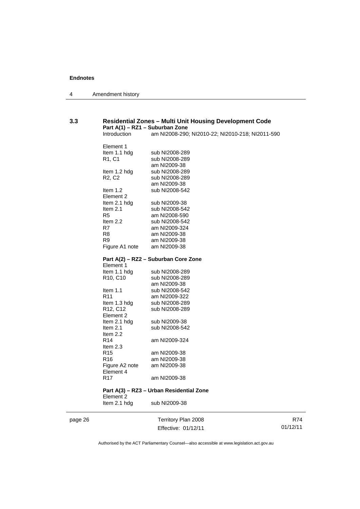| 4 | Amendment history |
|---|-------------------|
|---|-------------------|

## **3.3 Residential Zones – Multi Unit Housing Development Code Part A(1) – RZ1 – Suburban Zone**

am NI2008-290; NI2010-22; NI2010-218; NI2011-590

| Element 1                         |                                          |
|-----------------------------------|------------------------------------------|
| Item 1.1 hdg                      | sub NI2008-289                           |
| R1, C1                            | sub NI2008-289                           |
|                                   | am NI2009-38                             |
| Item 1.2 hdg                      | sub NI2008-289                           |
| R <sub>2</sub> , C <sub>2</sub>   | sub NI2008-289                           |
|                                   | am NI2009-38                             |
| Item $1.2$                        | sub NI2008-542                           |
| Element 2                         |                                          |
| Item 2.1 hdg                      | sub NI2009-38                            |
| Item 2.1                          | sub NI2008-542                           |
| R <sub>5</sub>                    | am NI2008-590                            |
| Item 2.2                          | sub NI2008-542                           |
| R7                                | am NI2009-324                            |
| R8                                | am NI2009-38                             |
| R9                                | am NI2009-38                             |
| Figure A1 note                    | am NI2009-38                             |
|                                   | Part A(2) - RZ2 - Suburban Core Zone     |
| Element 1                         |                                          |
| Item 1.1 hdg                      | sub NI2008-289                           |
| R <sub>10</sub> , C <sub>10</sub> | sub NI2008-289                           |
|                                   | am NI2009-38                             |
| Item $1.1$                        | sub NI2008-542                           |
| R <sub>11</sub>                   | am NI2009-322                            |
| Item 1.3 hdg                      | sub NI2008-289                           |
| R12, C12                          | sub NI2008-289                           |
| Element 2                         |                                          |
| Item 2.1 hdg                      | sub NI2009-38                            |
| Item 2.1                          | sub NI2008-542                           |
| Item 2.2                          |                                          |
| R <sub>14</sub>                   | am NI2009-324                            |
| Item 2.3                          |                                          |
| R <sub>15</sub>                   | am NI2009-38                             |
| R16                               | am NI2009-38                             |
| Figure A2 note<br>Element 4       | am NI2009-38                             |
| R <sub>17</sub>                   | am NI2009-38                             |
|                                   | Part A(3) – RZ3 – Urban Residential Zone |
| Element 2<br>Item 2.1 hda         | sub NI2009-38                            |

page 26 Territory Plan 2008 Effective: 01/12/11

R74 01/12/11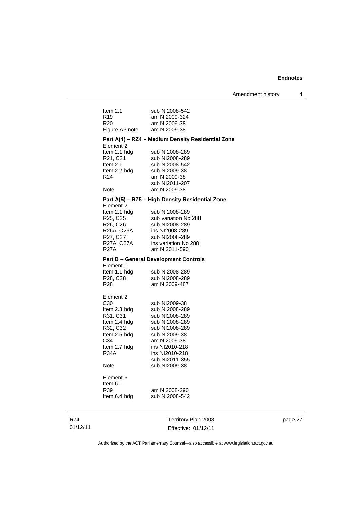| Item $2.1$      | sub NI2008-542                                    |
|-----------------|---------------------------------------------------|
| R <sub>19</sub> | am NI2009-324                                     |
| R20             | am NI2009-38                                      |
| Figure A3 note  | am NI2009-38                                      |
| Element 2       | Part A(4) - RZ4 - Medium Density Residential Zone |
| Item 2.1 hdg    | sub NI2008-289                                    |
| R21, C21        | sub NI2008-289                                    |
| Item $2.1$      | sub NI2008-542                                    |
| Item 2.2 hdg    | sub NI2009-38                                     |
| R24             | am NI2009-38                                      |
|                 | sub NI2011-207                                    |
| Note            | am NI2009-38                                      |
|                 |                                                   |
| Element 2       | Part A(5) - RZ5 - High Density Residential Zone   |
| Item 2.1 hdg    | sub NI2008-289                                    |
| R25, C25        | sub variation No 288                              |
| R26, C26        | sub NI2008-289                                    |
| R26A, C26A      | ins NI2008-289                                    |
| R27, C27        | sub NI2008-289                                    |
| R27A, C27A      | ins variation No 288                              |
| R27A            | am NI2011-590                                     |
|                 | <b>Part B - General Development Controls</b>      |
| Element 1       |                                                   |
| Item 1.1 hdg    | sub NI2008-289                                    |
| R28, C28        | sub NI2008-289                                    |
| R28             | am NI2009-487                                     |
| Element 2       |                                                   |
| C <sub>30</sub> | sub NI2009-38                                     |
| Item 2.3 hdg    | sub NI2008-289                                    |
| R31, C31        | sub NI2008-289                                    |
| Item 2.4 hdg    | sub NI2008-289                                    |
| R32, C32        | sub NI2008-289                                    |
| Item 2.5 hdg    | sub NI2009-38                                     |
| C34             | am NI2009-38                                      |
| Item 2.7 hdg    | ins NI2010-218                                    |
| R34A            | ins NI2010-218                                    |
|                 | sub NI2011-355                                    |
| Note            | sub NI2009-38                                     |
| Element 6       |                                                   |
| Item $6.1$      |                                                   |
| R39             | am NI2008-290                                     |
| Item 6.4 hdg    | sub NI2008-542                                    |
|                 |                                                   |
|                 |                                                   |

R74 01/12/11

Territory Plan 2008 Effective: 01/12/11 page 27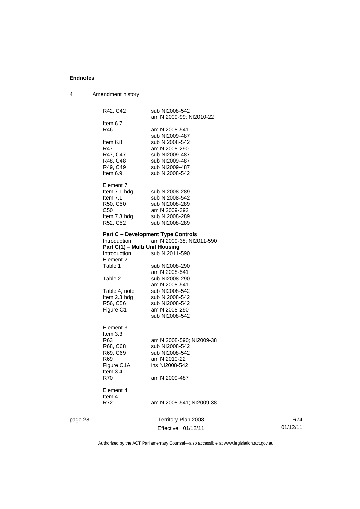| 4       | Amendment history              |                                           |          |
|---------|--------------------------------|-------------------------------------------|----------|
|         |                                |                                           |          |
|         | R42, C42                       | sub NI2008-542                            |          |
|         | Item $6.7$                     | am NI2009-99; NI2010-22                   |          |
|         | R46                            | am NI2008-541                             |          |
|         |                                | sub NI2009-487                            |          |
|         | Item 6.8                       | sub NI2008-542                            |          |
|         | R47                            | am NI2008-290                             |          |
|         | R47, C47                       | sub NI2009-487                            |          |
|         | R48, C48                       | sub NI2009-487                            |          |
|         | R49, C49                       | sub NI2009-487                            |          |
|         | Item 6.9                       | sub NI2008-542                            |          |
|         | Element 7                      |                                           |          |
|         | Item 7.1 hdg                   | sub NI2008-289                            |          |
|         | Item $7.1$                     | sub NI2008-542                            |          |
|         | R50, C50                       | sub NI2008-289                            |          |
|         | C50                            | am NI2009-392                             |          |
|         | Item 7.3 hdg                   | sub NI2008-289                            |          |
|         | R52, C52                       | sub NI2008-289                            |          |
|         |                                | <b>Part C - Development Type Controls</b> |          |
|         | Introduction                   | am NI2009-38; NI2011-590                  |          |
|         | Part C(1) - Multi Unit Housing |                                           |          |
|         | Introduction<br>Element 2      | sub NI2011-590                            |          |
|         | Table 1                        | sub NI2008-290                            |          |
|         |                                | am NI2008-541                             |          |
|         | Table 2                        | sub NI2008-290                            |          |
|         |                                | am NI2008-541                             |          |
|         | Table 4, note                  | sub NI2008-542                            |          |
|         | Item 2.3 hdg                   | sub NI2008-542                            |          |
|         | R56, C56                       | sub NI2008-542                            |          |
|         | Figure C1                      | am NI2008-290<br>sub NI2008-542           |          |
|         |                                |                                           |          |
|         | Element 3                      |                                           |          |
|         | Item $3.3$                     |                                           |          |
|         | R63                            | am NI2008-590; NI2009-38                  |          |
|         | R68, C68                       | sub NI2008-542                            |          |
|         | R69, C69                       | sub NI2008-542                            |          |
|         | R69                            | am NI2010-22                              |          |
|         | Figure C1A<br>Item 3.4         | ins NI2008-542                            |          |
|         | <b>R70</b>                     | am NI2009-487                             |          |
|         |                                |                                           |          |
|         | Element 4                      |                                           |          |
|         | Item $4.1$                     |                                           |          |
|         | R72                            | am NI2008-541; NI2009-38                  |          |
| page 28 |                                | Territory Plan 2008                       | R74      |
|         |                                | Effective: 01/12/11                       | 01/12/11 |
|         |                                |                                           |          |

Authorised by the ACT Parliamentary Counsel—also accessible at www.legislation.act.gov.au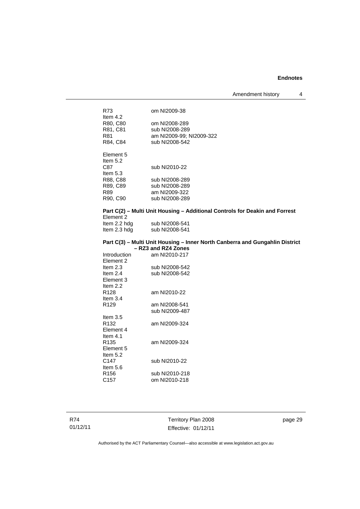Amendment history 4

| R73              | om NI2009-38             |
|------------------|--------------------------|
| Item $4.2$       |                          |
| R80, C80         | om NI2008-289            |
| R81, C81         | sub NI2008-289           |
| R81              | am NI2009-99; NI2009-322 |
| R84, C84         | sub NI2008-542           |
|                  |                          |
| <b>Element 5</b> |                          |
| Item $5.2$       |                          |
| C87              | sub NI2010-22            |
| Item $5.3$       |                          |
| R88, C88         | sub NI2008-289           |
| R89, C89         | sub NI2008-289           |
| R89              | am NI2009-322            |
| R90, C90         | sub NI2008-289           |
|                  |                          |

#### **Part C(2) – Multi Unit Housing – Additional Controls for Deakin and Forrest**  Element 2

| Item 2.2 hdg | sub NI2008-541 |
|--------------|----------------|
| ltem 2.3 hdg | sub NI2008-541 |

#### **Part C(3) – Multi Unit Housing – Inner North Canberra and Gungahlin District – RZ3 and RZ4 Zones**

| Introduction     | am NI2010-217  |  |
|------------------|----------------|--|
| Element 2        |                |  |
| Item $2.3$       | sub NI2008-542 |  |
| Item $2.4$       | sub NI2008-542 |  |
| Element 3        |                |  |
| Item $2.2$       |                |  |
| R128             | am NI2010-22   |  |
| Item $3.4$       |                |  |
| R <sub>129</sub> | am NI2008-541  |  |
|                  | sub NI2009-487 |  |
| Item $3.5$       |                |  |
| R132             | am NI2009-324  |  |
| Element 4        |                |  |
| Item $4.1$       |                |  |
| R135             | am NI2009-324  |  |
| Element 5        |                |  |
| Item $5.2$       |                |  |
| C147             | sub NI2010-22  |  |
| Item 5.6         |                |  |
| R156             | sub NI2010-218 |  |
| C157             | om NI2010-218  |  |

R74 01/12/11

Territory Plan 2008 Effective: 01/12/11 page 29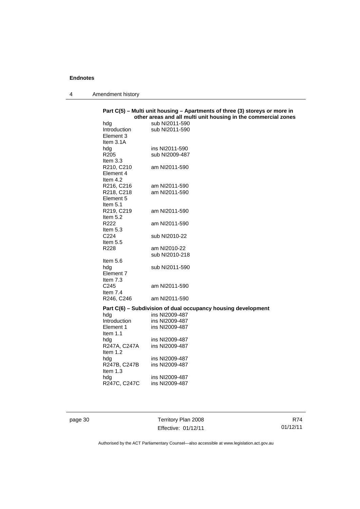4 Amendment history

|                     | other areas and all multi unit housing in the commercial zones |
|---------------------|----------------------------------------------------------------|
| hdg                 | sub NI2011-590                                                 |
| <i>Introduction</i> | sub NI2011-590                                                 |
| Element 3           |                                                                |
| Item $3.1A$         |                                                                |
| hdg                 | ins NI2011-590                                                 |
| R <sub>205</sub>    | sub NI2009-487                                                 |
| Item $3.3$          |                                                                |
| R210, C210          | am NI2011-590                                                  |
| Element 4           |                                                                |
| Item $4.2$          |                                                                |
|                     | am NI2011-590                                                  |
| R216, C216          |                                                                |
| R218, C218          | am NI2011-590                                                  |
| Element 5           |                                                                |
| Item 5.1            |                                                                |
| R219, C219          | am NI2011-590                                                  |
| Item $5.2$          |                                                                |
| R <sub>222</sub>    | am NI2011-590                                                  |
| Item $5.3$          |                                                                |
| C224                | sub NI2010-22                                                  |
| Item $5.5$          |                                                                |
| R228                | am NI2010-22                                                   |
|                     | sub NI2010-218                                                 |
| Item $5.6$          |                                                                |
| hdg                 | sub NI2011-590                                                 |
| Element 7           |                                                                |
| Item $7.3$          |                                                                |
| C <sub>245</sub>    | am NI2011-590                                                  |
| Item $7.4$          |                                                                |
|                     | am NI2011-590                                                  |
| R246, C246          |                                                                |
|                     | Part C(6) – Subdivision of dual occupancy housing development  |
| hdg                 | ins NI2009-487                                                 |
| Introduction        | ins NI2009-487                                                 |
| Element 1           | ins NI2009-487                                                 |
| Item $1.1$          |                                                                |
| hdg                 | ins NI2009-487                                                 |
| R247A, C247A        | ins NI2009-487                                                 |
| Item 1.2            |                                                                |
|                     | ins NI2009-487                                                 |
| hda                 |                                                                |
| R247B, C247B        | ins NI2009-487                                                 |
| Item 1.3            |                                                                |
| hda                 | ins NI2009-487<br>ins NI2009-487                               |
| R247C, C247C        |                                                                |

page 30 Territory Plan 2008 Effective: 01/12/11

R74 01/12/11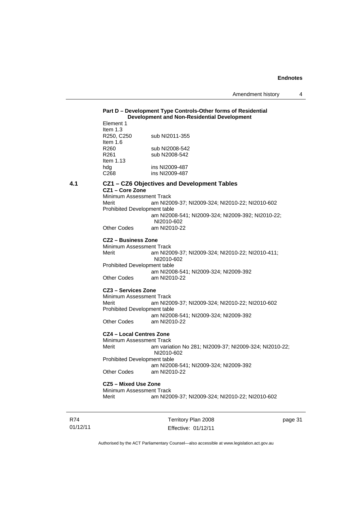#### **Part D – Development Type Controls-Other forms of Residential Development and Non-Residential Development**

| Element 1        |                |
|------------------|----------------|
| Item $1.3$       |                |
| R250, C250       | sub NI2011-355 |
| Item $1.6$       |                |
| R260             | sub NI2008-542 |
| R261             | sub N2008-542  |
| Item $1.13$      |                |
| hdg              | ins NI2009-487 |
| C <sub>268</sub> | ins NI2009-487 |

#### **4.1 CZ1 – CZ6 Objectives and Development Tables**

**CZ1 – Core Zone** 

Minimum Assessment Track Merit am NI2009-37; NI2009-324; NI2010-22; NI2010-602 Prohibited Development table am NI2008-541; NI2009-324; NI2009-392; NI2010-22; NI2010-602 Other Codes am NI2010-22

**CZ2 – Business Zone** 

Minimum Assessment Track Merit am NI2009-37; NI2009-324; NI2010-22; NI2010-411; NI2010-602 Prohibited Development table am NI2008-541; NI2009-324; NI2009-392 Other Codes am NI2010-22

### **CZ3 – Services Zone**

Minimum Assessment Track<br>Merit am NI20 am NI2009-37; NI2009-324; NI2010-22; NI2010-602 Prohibited Development table am NI2008-541; NI2009-324; NI2009-392<br>Other Codes am NI2010-22 am NI2010-22

#### **CZ4 – Local Centres Zone**

Minimum Assessment Track<br>Merit am varia am variation No 281; NI2009-37; NI2009-324; NI2010-22; NI2010-602 Prohibited Development table

 am NI2008-541; NI2009-324; NI2009-392 Other Codes am NI2010-22

### **CZ5 – Mixed Use Zone**

Minimum Assessment Track Merit am NI2009-37; NI2009-324; NI2010-22; NI2010-602

R74 01/12/11 Territory Plan 2008 Effective: 01/12/11

page 31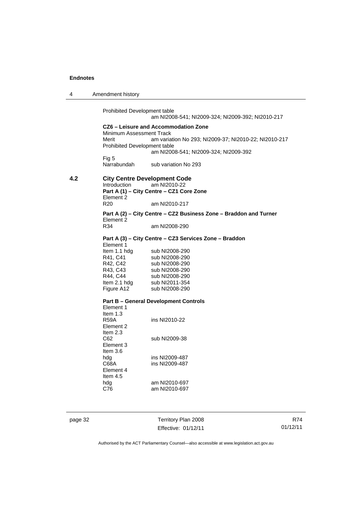4 Amendment history

Prohibited Development table am NI2008-541; NI2009-324; NI2009-392; NI2010-217 **CZ6 – Leisure and Accommodation Zone** Minimum Assessment Track<br>Merit am varia am variation No 293; NI2009-37; NI2010-22; NI2010-217 Prohibited Development table am NI2008-541; NI2009-324; NI2009-392 Fig 5 Narrabundah sub variation No 293

### **4.2 City Centre Development Code**  Introduction am NI2010-22 **Part A (1) – City Centre – CZ1 Core Zone**

Element 2<br>R20 am NI2010-217

**Part A (2) – City Centre – CZ2 Business Zone – Braddon and Turner**  Element 2<br>R34 am NI2008-290

#### **Part A (3) – City Centre – CZ3 Services Zone – Braddon**

| Element 1    |                |
|--------------|----------------|
| Item 1.1 hdg | sub NI2008-290 |
| R41, C41     | sub NI2008-290 |
| R42, C42     | sub NI2008-290 |
| R43, C43     | sub NI2008-290 |
| R44, C44     | sub NI2008-290 |
| Item 2.1 hdg | sub NI2011-354 |
| Figure A12   | sub NI2008-290 |
|              |                |

#### **Part B – General Development Controls**

| Flement 1  |                |
|------------|----------------|
| Item $1.3$ |                |
| R59A       | ins NI2010-22  |
| Flement 2  |                |
| Item $2.3$ |                |
| C62        | sub NI2009-38  |
| Element 3  |                |
| Item $3.6$ |                |
| hdg        | ins NI2009-487 |
| C68A       | ins NI2009-487 |
| Element 4  |                |
| Item $4.5$ |                |
| hdg        | am NI2010-697  |
| C76        | am NI2010-697  |
|            |                |

page 32 Territory Plan 2008 Effective: 01/12/11

R74 01/12/11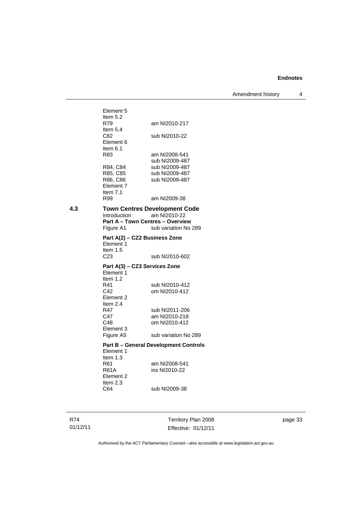Amendment history 4

Element 5 Item  $5.2$ <br>R79 am NI2010-217 Item 5.4<br>C82 sub NI2010-22 Element 6 Item 6.1 R83 am NI2008-541 sub NI2009-487<br>R84, C84 sub NI2009-487 R84, C84 sub NI2009-487<br>R85, C85 sub NI2009-487 sub NI2009-487 R86, C86 sub NI2009-487 Element 7 Item 7.1 R99 am NI2009-38 **4.3 Town Centres Development Code**  Introduction am NI2010-22 **Part A – Town Centres – Overview Figure A1** sub variation No sub variation No 289 **Part A(2) – CZ2 Business Zone**  Element 1 Item  $1.5$ <br>C<sub>23</sub> sub NI2010-602 **Part A(3) – CZ3 Services Zone**  Element 1 Item 1.2 R41 sub NI2010-412<br>C42 om NI2010-412 om NI2010-412 Element 2 Item 2.4 R47 sub NI2011-206<br>C47 am NI2010-218 C47 am NI2010-218<br>C48 om NI2010-412 om NI2010-412 Element 3<br>Figure A5 sub variation No 289 **Part B – General Development Controls**  Element 1 Item 1.3<br>R61 R61 am NI2008-541<br>R61A ins NI2010-22 ins NI2010-22 Element 2 Item 2.3<br>C64 sub NI2009-38

R74 01/12/11 Territory Plan 2008 Effective: 01/12/11

page 33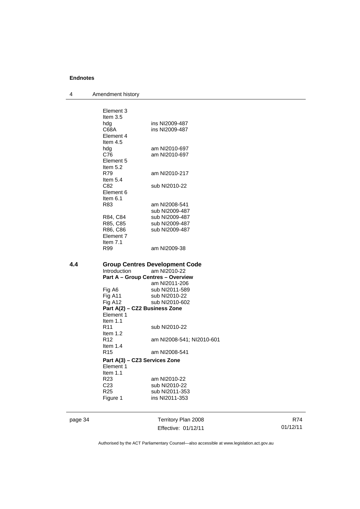4 Amendment history

|     | Element 3<br>Item $3.5$       |                                                    |
|-----|-------------------------------|----------------------------------------------------|
|     | hda                           | ins NI2009-487                                     |
|     | C68A                          | ins NI2009-487                                     |
|     | Element 4                     |                                                    |
|     | Item $4.5$                    |                                                    |
|     | hdg                           | am NI2010-697                                      |
|     | C76                           | am NI2010-697                                      |
|     | Element 5                     |                                                    |
|     | Item $5.2$                    |                                                    |
|     | R79                           | am NI2010-217                                      |
|     | Item $5.4$                    |                                                    |
|     | C82                           | sub NI2010-22                                      |
|     | Element 6                     |                                                    |
|     | Item $6.1$                    |                                                    |
|     | R83                           | am NI2008-541                                      |
|     |                               | sub NI2009-487                                     |
|     | R84, C84                      | sub NI2009-487                                     |
|     | R85, C85                      | sub NI2009-487                                     |
|     | R86, C86                      | sub NI2009-487                                     |
|     | Element 7                     |                                                    |
|     | Item 7.1                      |                                                    |
|     | R99                           | am NI2009-38                                       |
|     |                               |                                                    |
|     |                               |                                                    |
| 4.4 |                               | <b>Group Centres Development Code</b>              |
|     | Introduction                  | am NI2010-22                                       |
|     |                               | Part A - Group Centres - Overview<br>am NI2011-206 |
|     |                               | sub NI2011-589                                     |
|     | Fig A6<br>Fig A11             | sub NI2010-22                                      |
|     | Fig A12                       | sub NI2010-602                                     |
|     | Part A(2) - CZ2 Business Zone |                                                    |
|     | Element 1                     |                                                    |
|     | Item $1.1$                    |                                                    |
|     | R <sub>11</sub>               | sub NI2010-22                                      |
|     | Item $1.2$                    |                                                    |
|     | R <sub>12</sub>               | am NI2008-541; NI2010-601                          |
|     | Item $1.4$                    |                                                    |
|     | R <sub>15</sub>               | am NI2008-541                                      |
|     | Part A(3) – CZ3 Services Zone |                                                    |
|     | Element 1                     |                                                    |
|     | Item 1.1                      |                                                    |
|     | R <sub>23</sub>               | am NI2010-22                                       |
|     | C <sub>23</sub>               | sub NI2010-22                                      |
|     | R <sub>25</sub>               | sub NI2011-353                                     |
|     | Figure 1                      | ins NI2011-353                                     |
|     |                               |                                                    |

page 34 Territory Plan 2008 Effective: 01/12/11

R74 01/12/11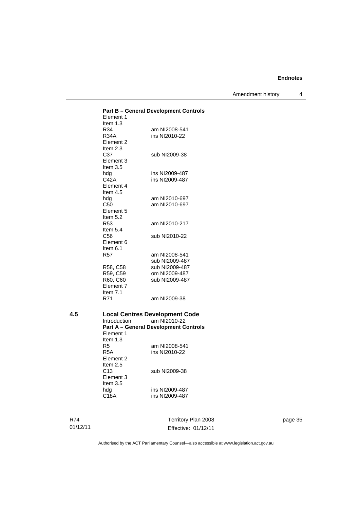Amendment history 4

|     |                   | <b>Part B - General Development Controls</b>          |
|-----|-------------------|-------------------------------------------------------|
|     | Element 1         |                                                       |
|     | Item $1.3$<br>R34 | am NI2008-541                                         |
|     | R34A              | ins NI2010-22                                         |
|     | Element 2         |                                                       |
|     | Item $2.3$        |                                                       |
|     | C37               | sub NI2009-38                                         |
|     | Element 3         |                                                       |
|     | Item 3.5          |                                                       |
|     | hdg               | ins NI2009-487                                        |
|     | C42A              | ins NI2009-487                                        |
|     | Element 4         |                                                       |
|     | Item $4.5$        |                                                       |
|     | hdg               | am NI2010-697                                         |
|     | C50               | am NI2010-697                                         |
|     | Element 5         |                                                       |
|     | Item 5.2          |                                                       |
|     | R <sub>53</sub>   | am NI2010-217                                         |
|     | Item $5.4$        |                                                       |
|     | C56               | sub NI2010-22                                         |
|     | Element 6         |                                                       |
|     | Item $6.1$        |                                                       |
|     | <b>R57</b>        | am NI2008-541                                         |
|     |                   | sub NI2009-487                                        |
|     | R58, C58          | sub NI2009-487                                        |
|     | R59, C59          | om NI2009-487                                         |
|     | R60, C60          | sub NI2009-487                                        |
|     | Element 7         |                                                       |
|     | Item $7.1$<br>R71 | am NI2009-38                                          |
|     |                   |                                                       |
| 4.5 |                   |                                                       |
|     | Introduction      | <b>Local Centres Development Code</b><br>am NI2010-22 |
|     |                   | <b>Part A - General Development Controls</b>          |
|     | Element 1         |                                                       |
|     | Item $1.3$        |                                                       |
|     | R <sub>5</sub>    | am NI2008-541                                         |
|     | R5A               | ins NI2010-22                                         |
|     | Element 2         |                                                       |
|     | Item $2.5$        |                                                       |
|     | C <sub>13</sub>   | sub NI2009-38                                         |
|     | Element 3         |                                                       |
|     | Item $3.5$        |                                                       |
|     | hdg               | ins NI2009-487                                        |
|     | C18A              | ins NI2009-487                                        |
|     |                   |                                                       |
|     |                   |                                                       |

R74 01/12/11

Territory Plan 2008 Effective: 01/12/11 page 35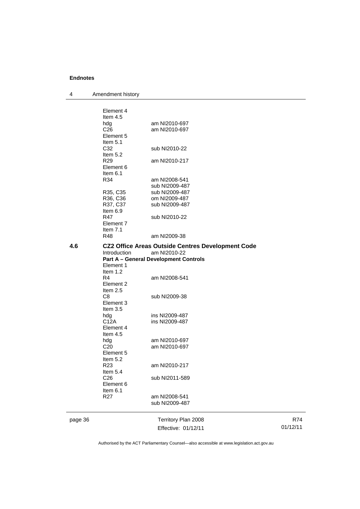| 4       | Amendment history         |                                                                                                                   |          |
|---------|---------------------------|-------------------------------------------------------------------------------------------------------------------|----------|
|         |                           |                                                                                                                   |          |
|         | Element 4                 |                                                                                                                   |          |
|         | Item $4.5$                |                                                                                                                   |          |
|         | hdg<br>C <sub>26</sub>    | am NI2010-697<br>am NI2010-697                                                                                    |          |
|         | Element 5                 |                                                                                                                   |          |
|         | Item 5.1                  |                                                                                                                   |          |
|         | C32                       | sub NI2010-22                                                                                                     |          |
|         | Item 5.2                  |                                                                                                                   |          |
|         | R <sub>29</sub>           | am NI2010-217                                                                                                     |          |
|         | Element 6                 |                                                                                                                   |          |
|         | Item $6.1$                |                                                                                                                   |          |
|         | R34                       | am NI2008-541                                                                                                     |          |
|         |                           | sub NI2009-487                                                                                                    |          |
|         | R35, C35                  | sub NI2009-487                                                                                                    |          |
|         | R36, C36                  | om NI2009-487                                                                                                     |          |
|         | R37, C37                  | sub NI2009-487                                                                                                    |          |
|         | Item 6.9                  |                                                                                                                   |          |
|         | R47                       | sub NI2010-22                                                                                                     |          |
|         | Element 7                 |                                                                                                                   |          |
|         | Item $7.1$                |                                                                                                                   |          |
|         | R48                       | am NI2009-38                                                                                                      |          |
| 4.6     | Introduction<br>Element 1 | CZ2 Office Areas Outside Centres Development Code<br>am NI2010-22<br><b>Part A - General Development Controls</b> |          |
|         | Item 1.2                  |                                                                                                                   |          |
|         | R4                        | am NI2008-541                                                                                                     |          |
|         | Element 2                 |                                                                                                                   |          |
|         | Item $2.5$<br>C8          |                                                                                                                   |          |
|         | Element 3                 | sub NI2009-38                                                                                                     |          |
|         | Item 3.5                  |                                                                                                                   |          |
|         | hdg                       | ins NI2009-487                                                                                                    |          |
|         | C12A                      | ins NI2009-487                                                                                                    |          |
|         | Element 4                 |                                                                                                                   |          |
|         | Item 4.5                  |                                                                                                                   |          |
|         | hdg                       | am NI2010-697                                                                                                     |          |
|         | C <sub>20</sub>           | am NI2010-697                                                                                                     |          |
|         | Element 5                 |                                                                                                                   |          |
|         | Item 5.2                  |                                                                                                                   |          |
|         | R <sub>23</sub>           | am NI2010-217                                                                                                     |          |
|         | Item 5.4                  |                                                                                                                   |          |
|         | C <sub>26</sub>           | sub NI2011-589                                                                                                    |          |
|         | Element 6                 |                                                                                                                   |          |
|         | Item 6.1                  |                                                                                                                   |          |
|         | R <sub>27</sub>           | am NI2008-541                                                                                                     |          |
|         |                           | sub NI2009-487                                                                                                    |          |
| page 36 |                           | Territory Plan 2008                                                                                               | R74      |
|         |                           | Effective: 01/12/11                                                                                               | 01/12/11 |
|         |                           |                                                                                                                   |          |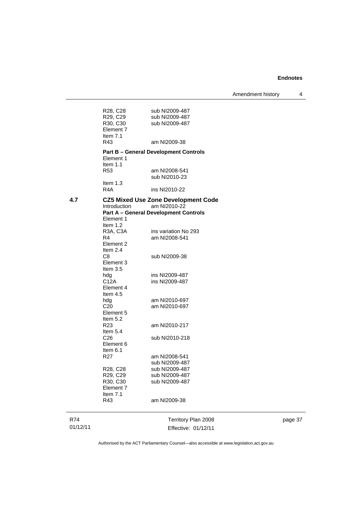Amendment history 4

|          | R28, C28<br>R29, C29<br>R30, C30 | sub NI2009-487<br>sub NI2009-487<br>sub NI2009-487 |  |
|----------|----------------------------------|----------------------------------------------------|--|
|          | Element 7<br>Item $7.1$<br>R43   | am NI2009-38                                       |  |
|          |                                  | <b>Part B - General Development Controls</b>       |  |
|          | Element 1                        |                                                    |  |
|          | Item $1.1$                       |                                                    |  |
|          | R53                              | am NI2008-541<br>sub NI2010-23                     |  |
|          | Item $1.3$                       |                                                    |  |
|          | R4A                              | ins NI2010-22                                      |  |
| 4.7      |                                  | <b>CZ5 Mixed Use Zone Development Code</b>         |  |
|          | Introduction                     | am NI2010-22                                       |  |
|          |                                  | <b>Part A - General Development Controls</b>       |  |
|          | Element 1<br>Item $1.2$          |                                                    |  |
|          | R3A, C3A                         | ins variation No 293                               |  |
|          | R4                               | am NI2008-541                                      |  |
|          | Element 2                        |                                                    |  |
|          | Item $2.4$<br>C8                 | sub NI2009-38                                      |  |
|          | Element 3                        |                                                    |  |
|          | Item $3.5$                       |                                                    |  |
|          | hdg                              | ins NI2009-487                                     |  |
|          | C12A<br>Element 4                | ins NI2009-487                                     |  |
|          | Item 4.5                         |                                                    |  |
|          | hdg                              | am NI2010-697                                      |  |
|          | C <sub>20</sub>                  | am NI2010-697                                      |  |
|          | Element 5<br>Item 5.2            |                                                    |  |
|          | R23                              | am NI2010-217                                      |  |
|          | Item 5.4                         |                                                    |  |
|          | C <sub>26</sub>                  | sub NI2010-218                                     |  |
|          | Element 6<br>Item $6.1$          |                                                    |  |
|          | R27                              | am NI2008-541                                      |  |
|          |                                  | sub NI2009-487                                     |  |
|          | R28, C28                         | sub NI2009-487                                     |  |
|          | R29, C29                         | sub NI2009-487                                     |  |
|          | R30, C30<br>Element 7            | sub NI2009-487                                     |  |
|          | Item 7.1                         |                                                    |  |
|          | R43                              | am NI2009-38                                       |  |
| R74      |                                  | Territory Plan 2008                                |  |
| 01/12/11 |                                  | Effective: 01/12/11                                |  |

page 37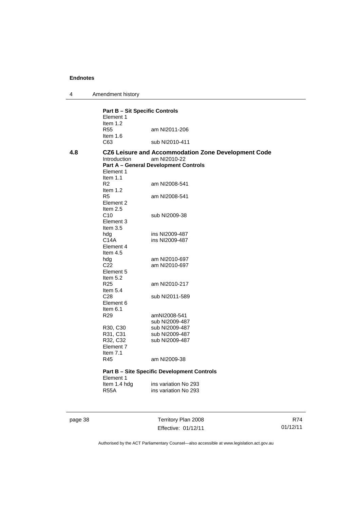4 Amendment history

**Part B – Sit Specific Controls**  Element 1 Item 1.2<br>R55 am NI2011-206 Item 1.6 C63 sub NI2010-411 **4.8 CZ6 Leisure and Accommodation Zone Development Code**  Introduction am NI2010-22 **Part A – General Development Controls**  Element 1 Item 1.1<br>R2 am NI2008-541 Item 1.2 R5 am NI2008-541 Element 2 Item 2.5 C10 sub NI2009-38 Element 3 Item 3.5<br>hdg hdg ins NI2009-487<br>C14A ins NI2009-487 ins NI2009-487 Element 4 Item 4.5 hdg am NI2010-697<br>C22 am NI2010-697 am NI2010-697 Element 5 Item  $5.2$ <br>R25 am NI2010-217 Item 5.4 C28 sub NI2011-589 Element 6 Item 6.1<br>R29 amNI2008-541 sub NI2009-487<br>R30, C30 sub NI2009-487 sub NI2009-487 R31, C31 sub NI2009-487<br>R32, C32 sub NI2009-487 sub NI2009-487 Element 7 Item 7.1 R45 am NI2009-38 **Part B – Site Specific Development Controls**  Element 1<br>Item 1.4 hdg Item 1.4 hdg ins variation No 293<br>R55A ins variation No 293 ins variation No 293

page 38 Territory Plan 2008 Effective: 01/12/11

R74 01/12/11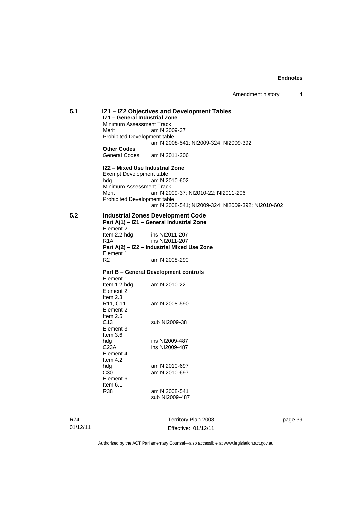Amendment history 4

| R74 |                                                          | Territory Plan 2008                               |  |  |
|-----|----------------------------------------------------------|---------------------------------------------------|--|--|
|     |                                                          |                                                   |  |  |
|     | R38                                                      | am NI2008-541<br>sub NI2009-487                   |  |  |
|     | Item 6.1                                                 |                                                   |  |  |
|     | C30<br>Element 6                                         | am NI2010-697                                     |  |  |
|     | hdg                                                      | am NI2010-697                                     |  |  |
|     | Element 4<br>Item $4.2$                                  |                                                   |  |  |
|     | C <sub>23</sub> A                                        | ins NI2009-487                                    |  |  |
|     | Item $3.6$<br>hdg                                        | ins NI2009-487                                    |  |  |
|     | Element 3                                                |                                                   |  |  |
|     | Item $2.5$<br>C13                                        | sub NI2009-38                                     |  |  |
|     | Element 2                                                |                                                   |  |  |
|     | Item $2.3$<br>R11, C11                                   | am NI2008-590                                     |  |  |
|     | Element 2                                                |                                                   |  |  |
|     | Element 1<br>Item 1.2 hdg                                | am NI2010-22                                      |  |  |
|     |                                                          | <b>Part B - General Development controls</b>      |  |  |
|     | R2                                                       | am NI2008-290                                     |  |  |
|     | Part A(2) - IZ2 - Industrial Mixed Use Zone<br>Element 1 |                                                   |  |  |
|     | R <sub>1</sub> A                                         | ins NI2011-207                                    |  |  |
|     | Element 2<br>Item 2.2 hdg                                | ins NI2011-207                                    |  |  |
|     | Part A(1) - IZ1 - General Industrial Zone                |                                                   |  |  |
| 5.2 |                                                          | <b>Industrial Zones Development Code</b>          |  |  |
|     | <b>Prohibited Development table</b>                      | am NI2008-541; NI2009-324; NI2009-392; NI2010-602 |  |  |
|     | Merit                                                    | am NI2009-37; NI2010-22; NI2011-206               |  |  |
|     | Minimum Assessment Track                                 |                                                   |  |  |
|     | Exempt Development table<br>hdg                          | am NI2010-602                                     |  |  |
|     | IZ2 - Mixed Use Industrial Zone                          |                                                   |  |  |
|     | General Codes                                            | am NI2011-206                                     |  |  |
|     | <b>Other Codes</b>                                       | am NI2008-541; NI2009-324; NI2009-392             |  |  |
|     | <b>Prohibited Development table</b>                      |                                                   |  |  |
|     | Merit                                                    | am NI2009-37                                      |  |  |
|     | Minimum Assessment Track                                 |                                                   |  |  |
|     | IZ1 - General Industrial Zone                            |                                                   |  |  |

01/12/11

Territory Plan 2008 Effective: 01/12/11 page 39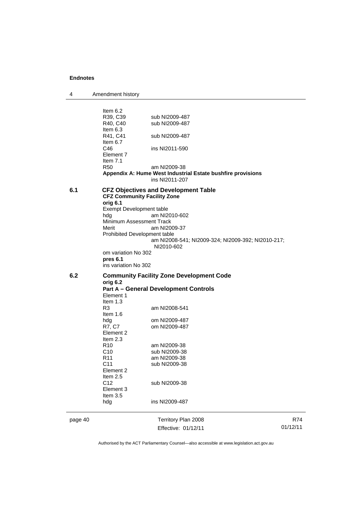| 4 | Amendment history |  |
|---|-------------------|--|
|---|-------------------|--|

page 40 Territory Plan 2008 Effective: 01/12/11 R74 01/12/11 Item 6.2<br>R39, C39 sub NI2009-487 R40, C40 sub NI2009-487 Item 6.3<br>R41, C41 sub NI2009-487 Item  $6.7$ <br>C<sub>46</sub> ins NI2011-590 Element 7 Item 7.1 R50 am NI2009-38 **Appendix A: Hume West Industrial Estate bushfire provisions**  ins NI2011-207 **6.1 CFZ Objectives and Development Table CFZ Community Facility Zone orig 6.1**  Exempt Development table hdg am NI2010-602 Minimum Assessment Track<br>Merit am NI20 am NI2009-37 Prohibited Development table am NI2008-541; NI2009-324; NI2009-392; NI2010-217; NI2010-602 om variation No 302 **pres 6.1** ins variation No 302 **6.2 Community Facility Zone Development Code orig 6.2 Part A – General Development Controls**  Element 1 Item 1.3 R3 am NI2008-541 Item 1.6 hdg om NI2009-487<br>R7, C7 om NI2009-487 om NI2009-487 Element 2 Item 2.3 R10 am NI2009-38<br>C10 sub NI2009-38 sub NI2009-38 R11 am NI2009-38 C11 sub NI2009-38 Element 2 Item  $2.5$ <br>C<sub>12</sub> sub NI2009-38 Element 3 Item 3.5 hdg ins NI2009-487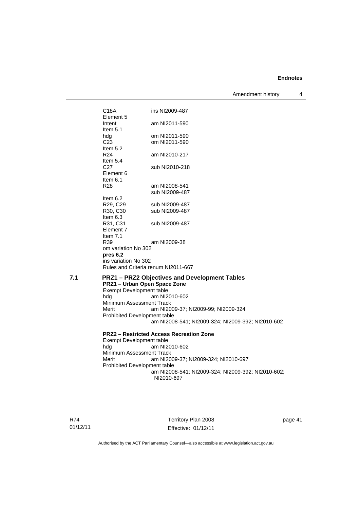Amendment history 4

C18A ins NI2009-487 Element 5 Intent am NI2011-590 Item 5.1<br>hdg hdg om NI2011-590<br>C23 om NI2011-590 om NI2011-590 Item 5.2 R24 am NI2010-217 Item 5.4 C27 sub NI2010-218 Element 6 Item 6.1 R28 am NI2008-541 sub NI2009-487 Item 6.2 R29, C29 sub NI2009-487<br>R30, C30 sub NI2009-487 sub NI2009-487 Item 6.3 R31, C31 sub NI2009-487 Element 7 Item 7.1 R39 am NI2009-38 om variation No 302 **pres 6.2** ins variation No 302 Rules and Criteria renum NI2011-667 **7.1 PRZ1 – PRZ2 Objectives and Development Tables PRZ1 – Urban Open Space Zone**  Exempt Development table hdg am NI2010-602 Minimum Assessment Track<br>Merit am NI20 am NI2009-37; NI2009-99; NI2009-324 Prohibited Development table am NI2008-541; NI2009-324; NI2009-392; NI2010-602 **PRZ2 – Restricted Access Recreation Zone**  Exempt Development table<br>hdg am NI2 am NI2010-602 Minimum Assessment Track Merit am NI2009-37; NI2009-324; NI2010-697 Prohibited Development table

R74 01/12/11

Territory Plan 2008 Effective: 01/12/11

am NI2008-541; NI2009-324; NI2009-392; NI2010-602;

page 41

Authorised by the ACT Parliamentary Counsel—also accessible at www.legislation.act.gov.au

NI2010-697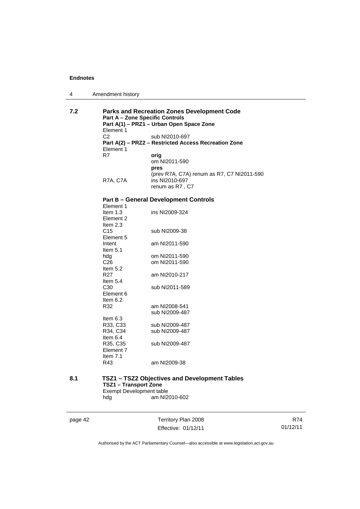| Amendment history<br>4 |  |
|------------------------|--|
|------------------------|--|

| 7.2 | <b>Parks and Recreation Zones Development Code</b><br><b>Part A - Zone Specific Controls</b> |                                                      |  |
|-----|----------------------------------------------------------------------------------------------|------------------------------------------------------|--|
|     | Element 1                                                                                    | Part A(1) - PRZ1 - Urban Open Space Zone             |  |
|     | C <sub>2</sub>                                                                               | sub NI2010-697                                       |  |
|     | Element 1                                                                                    | Part A(2) - PRZ2 - Restricted Access Recreation Zone |  |
|     | R7                                                                                           | orig                                                 |  |
|     |                                                                                              | om NI2011-590                                        |  |
|     |                                                                                              | pres                                                 |  |
|     |                                                                                              | (prev R7A, C7A) renum as R7, C7 NI2011-590           |  |
|     | R7A, C7A                                                                                     | ins NI2010-697                                       |  |
|     |                                                                                              | renum as R7, C7                                      |  |
|     |                                                                                              | <b>Part B - General Development Controls</b>         |  |
|     | Element 1                                                                                    |                                                      |  |
|     | Item $1.3$                                                                                   | ins NI2009-324                                       |  |
|     | Element 2                                                                                    |                                                      |  |
|     | Item 2.3<br>C <sub>15</sub>                                                                  | sub NI2009-38                                        |  |
|     | Element 5                                                                                    |                                                      |  |
|     | Intent                                                                                       | am NI2011-590                                        |  |
|     | Item $5.1$                                                                                   |                                                      |  |
|     | hdg                                                                                          | om NI2011-590                                        |  |
|     | C <sub>26</sub>                                                                              | om NI2011-590                                        |  |
|     | Item $5.2$                                                                                   |                                                      |  |
|     | R <sub>27</sub>                                                                              | am NI2010-217                                        |  |
|     | Item 5.4                                                                                     |                                                      |  |
|     | C <sub>30</sub>                                                                              | sub NI2011-589                                       |  |
|     | Element 6                                                                                    |                                                      |  |
|     | Item 6.2                                                                                     |                                                      |  |
|     | R32                                                                                          | am NI2008-541                                        |  |
|     |                                                                                              | sub NI2009-487                                       |  |
|     | Item $6.3$                                                                                   |                                                      |  |
|     | R33, C33                                                                                     | sub NI2009-487                                       |  |
|     | R34, C34<br>Item $6.4$                                                                       | sub NI2009-487                                       |  |
|     | R35, C35                                                                                     | sub NI2009-487                                       |  |
|     | Element 7                                                                                    |                                                      |  |
|     | Item $7.1$                                                                                   |                                                      |  |
|     | R43                                                                                          | am NI2009-38                                         |  |
|     |                                                                                              |                                                      |  |
| 8.1 |                                                                                              | TSZ1 - TSZ2 Objectives and Development Tables        |  |
|     | <b>TSZ1 - Transport Zone</b>                                                                 |                                                      |  |
|     | Exempt Development table                                                                     |                                                      |  |
|     | hdg                                                                                          | am NI2010-602                                        |  |

page 42 Territory Plan 2008 Effective: 01/12/11

R74 01/12/11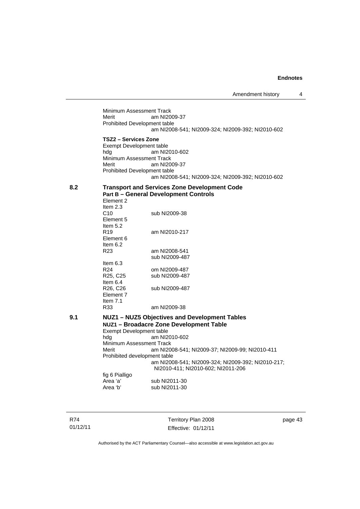Minimum Assessment Track Merit am NI2009-37 Prohibited Development table am NI2008-541; NI2009-324; NI2009-392; NI2010-602 **TSZ2 – Services Zone**  Exempt Development table hdg am NI2010-602 Minimum Assessment Track Merit am NI2009-37 Prohibited Development table am NI2008-541; NI2009-324; NI2009-392; NI2010-602 **8.2 Transport and Services Zone Development Code Part B – General Development Controls**  Element 2 Item  $2.3$ <br>C<sub>10</sub> sub NI2009-38 Element 5 Item 5.2 R19 am NI2010-217 Element 6 Item 6.2 R23 am NI2008-541 sub NI2009-487 Item 6.3 R24 om NI2009-487<br>R25, C25 sub NI2009-487 sub NI2009-487 Item 6.4<br>R26, C26 sub NI2009-487 Element 7 Item 7.1<br>R33 am NI2009-38 **9.1 NUZ1 – NUZ5 Objectives and Development Tables NUZ1 – Broadacre Zone Development Table**  Exempt Development table hdg am NI2010-602 Minimum Assessment Track Merit am NI2008-541; NI2009-37; NI2009-99; NI2010-411 Prohibited development table am NI2008-541; NI2009-324; NI2009-392; NI2010-217; NI2010-411; NI2010-602; NI2011-206 fig 6 Pialligo Area 'a' sub NI2011-30<br>Area 'b' sub NI2011-30 sub NI2011-30

R74 01/12/11 Territory Plan 2008 Effective: 01/12/11 page 43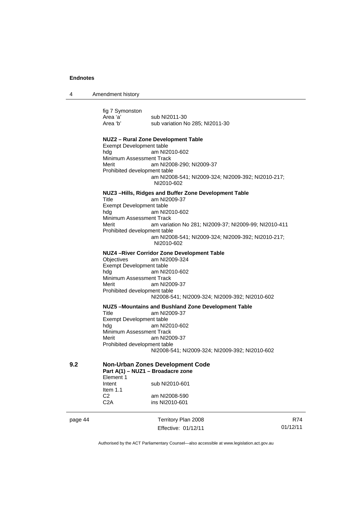4 Amendment history

page 44 Territory Plan 2008 fig 7 Symonston<br>Area 'a' Area 'a' sub NI2011-30<br>Area 'b' sub variation N sub variation No 285: NI2011-30 **NUZ2 – Rural Zone Development Table**  Exempt Development table hdg am NI2010-602 Minimum Assessment Track Merit am NI2008-290; NI2009-37 Prohibited development table am NI2008-541; NI2009-324; NI2009-392; NI2010-217; NI2010-602 **NUZ3 –Hills, Ridges and Buffer Zone Development Table**  Title am NI2009-37 Exempt Development table hdg am NI2010-602 Minimum Assessment Track Merit am variation No 281; NI2009-37; NI2009-99; NI2010-411 Prohibited development table am NI2008-541; NI2009-324; NI2009-392; NI2010-217; NI2010-602 **NUZ4 –River Corridor Zone Development Table**  Objectives am NI2009-324 Exempt Development table hdg am NI2010-602 Minimum Assessment Track Merit am NI2009-37 Prohibited development table NI2008-541; NI2009-324; NI2009-392; NI2010-602 **NUZ5 –Mountains and Bushland Zone Development Table**  Title am NI2009-37 Exempt Development table hdg am NI2010-602 Minimum Assessment Track Merit am NI2009-37 Prohibited development table NI2008-541; NI2009-324; NI2009-392; NI2010-602 **9.2 Non-Urban Zones Development Code Part A(1) – NUZ1 – Broadacre zone**  Element 1 Intent sub NI2010-601 Item  $1.1$ <br>C<sub>2</sub> C2 am NI2008-590<br>C2A ins NI2010-601 ins NI2010-601

Effective: 01/12/11

R74 01/12/11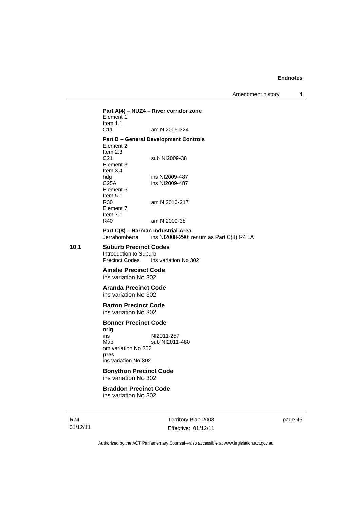#### **Part A(4) – NUZ4 – River corridor zone**  Element 1 Item 1.1<br>C11 am NI2009-324

### **Part B – General Development Controls**

Element 2 Item  $2.3$ <br> $C<sub>21</sub>$ sub NI2009-38 Element 3 Item 3.4<br>hdg hdg ins NI2009-487<br>C25A ins NI2009-487 ins NI2009-487 Element 5 Item  $5.1$ <br>R30 am NI2010-217 Element 7 Item 7.1 R40 am NI2009-38

#### **Part C(8) – Harman Industrial Area,**

Jerrabomberra ins NI2008-290; renum as Part C(8) R4 LA

### **10.1 Suburb Precinct Codes**

Introduction to Suburb<br>Precinct Codes ins ins variation No 302

#### **Ainslie Precinct Code**  ins variation No 302

#### **Aranda Precinct Code**  ins variation No 302

#### **Barton Precinct Code**  ins variation No 302

#### **Bonner Precinct Code**

**orig**  ins NI2011-257 Map sub NI2011-480 om variation No 302 **pres** ins variation No 302

### **Bonython Precinct Code**  ins variation No 302

#### **Braddon Precinct Code**  ins variation No 302

R74 01/12/11 Territory Plan 2008 Effective: 01/12/11

page 45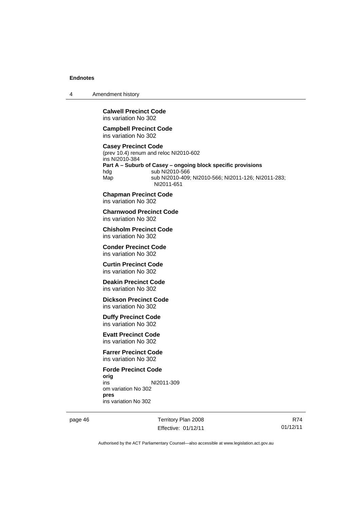4 Amendment history

#### **Calwell Precinct Code**  ins variation No 302

#### **Campbell Precinct Code**  ins variation No 302

### **Casey Precinct Code**

(prev 10.4) renum and reloc NI2010-602 ins NI2010-384 **Part A – Suburb of Casey – ongoing block specific provisions**  hdg sub NI2010-566 Map sub NI2010-409; NI2010-566; NI2011-126; NI2011-283; NI2011-651

**Chapman Precinct Code**  ins variation No 302

**Charnwood Precinct Code**  ins variation No 302

**Chisholm Precinct Code**  ins variation No 302

**Conder Precinct Code**  ins variation No 302

**Curtin Precinct Code**  ins variation No 302

**Deakin Precinct Code**  ins variation No 302

**Dickson Precinct Code**  ins variation No 302

**Duffy Precinct Code**  ins variation No 302

**Evatt Precinct Code**  ins variation No 302

**Farrer Precinct Code**  ins variation No 302

**Forde Precinct Code orig** NI2011-309 om variation No 302 **pres**  ins variation No 302

page 46 Territory Plan 2008 Effective: 01/12/11

R74 01/12/11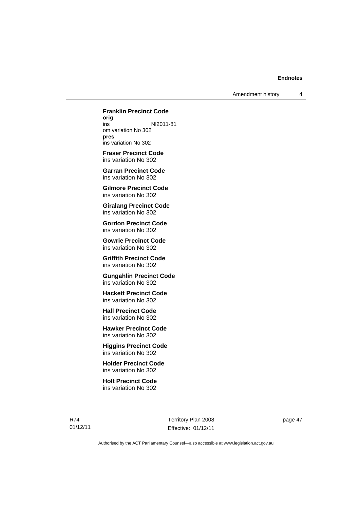**Franklin Precinct Code orig**  NI2011-81 om variation No 302 **pres**

ins variation No 302

**Fraser Precinct Code**  ins variation No 302

**Garran Precinct Code**  ins variation No 302

**Gilmore Precinct Code**  ins variation No 302

**Giralang Precinct Code**  ins variation No 302

**Gordon Precinct Code**  ins variation No 302

**Gowrie Precinct Code**  ins variation No 302

**Griffith Precinct Code**  ins variation No 302

**Gungahlin Precinct Code**  ins variation No 302

**Hackett Precinct Code**  ins variation No 302

**Hall Precinct Code**  ins variation No 302

**Hawker Precinct Code**  ins variation No 302

**Higgins Precinct Code**  ins variation No 302

**Holder Precinct Code**  ins variation No 302

**Holt Precinct Code**  ins variation No 302

R74 01/12/11

Territory Plan 2008 Effective: 01/12/11 page 47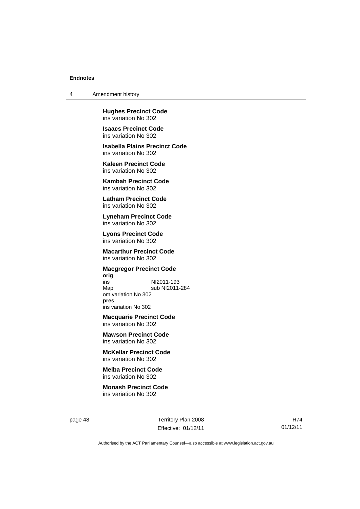4 Amendment history

**Hughes Precinct Code**  ins variation No 302

**Isaacs Precinct Code**  ins variation No 302

**Isabella Plains Precinct Code**  ins variation No 302

**Kaleen Precinct Code**  ins variation No 302

**Kambah Precinct Code**  ins variation No 302

**Latham Precinct Code**  ins variation No 302

**Lyneham Precinct Code**  ins variation No 302

**Lyons Precinct Code**  ins variation No 302

**Macarthur Precinct Code**  ins variation No 302

### **Macgregor Precinct Code**

**orig** ins NI2011-193 sub NI2011-284 om variation No 302 **pres** ins variation No 302

**Macquarie Precinct Code**  ins variation No 302

**Mawson Precinct Code**  ins variation No 302

**McKellar Precinct Code**  ins variation No 302

**Melba Precinct Code**  ins variation No 302

**Monash Precinct Code**  ins variation No 302

page 48 Territory Plan 2008 Effective: 01/12/11

R74 01/12/11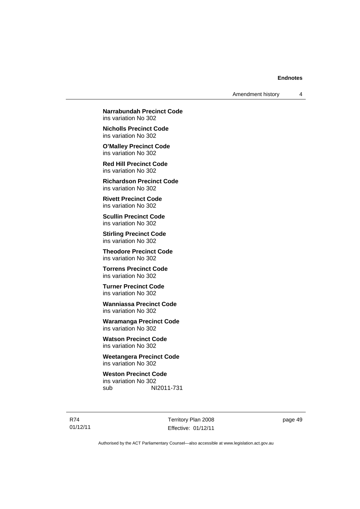**Narrabundah Precinct Code**  ins variation No 302

**Nicholls Precinct Code**  ins variation No 302

**O'Malley Precinct Code**  ins variation No 302

**Red Hill Precinct Code**  ins variation No 302

**Richardson Precinct Code**  ins variation No 302

**Rivett Precinct Code**  ins variation No 302

**Scullin Precinct Code**  ins variation No 302

**Stirling Precinct Code**  ins variation No 302

**Theodore Precinct Code**  ins variation No 302

**Torrens Precinct Code**  ins variation No 302

**Turner Precinct Code**  ins variation No 302

**Wanniassa Precinct Code**  ins variation No 302

**Waramanga Precinct Code**  ins variation No 302

**Watson Precinct Code**  ins variation No 302

**Weetangera Precinct Code**  ins variation No 302

**Weston Precinct Code**  ins variation No 302 sub NI2011-731

R74 01/12/11

Territory Plan 2008 Effective: 01/12/11 page 49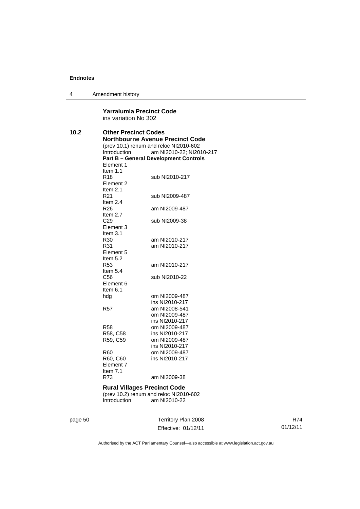4 Amendment history

#### **Yarralumla Precinct Code**  ins variation No 302

| 10.2 | <b>Other Precinct Codes</b><br><b>Northbourne Avenue Precinct Code</b><br>(prev 10.1) renum and reloc NI2010-602<br>Introduction<br>am NI2010-22; NI2010-217<br><b>Part B - General Development Controls</b><br>Element 1 |                |  |
|------|---------------------------------------------------------------------------------------------------------------------------------------------------------------------------------------------------------------------------|----------------|--|
|      | Item $1.1$<br>R18<br>Element 2                                                                                                                                                                                            | sub NI2010-217 |  |
|      | Item $2.1$<br>R21<br>Item $2.4$                                                                                                                                                                                           | sub NI2009-487 |  |
|      | R26<br>Item $2.7$                                                                                                                                                                                                         | am NI2009-487  |  |
|      | C29<br>Element 3<br>Item $3.1$                                                                                                                                                                                            | sub NI2009-38  |  |
|      | R30                                                                                                                                                                                                                       | am NI2010-217  |  |
|      | R31                                                                                                                                                                                                                       | am NI2010-217  |  |
|      | Element 5<br>Item $5.2$                                                                                                                                                                                                   |                |  |
|      | R <sub>53</sub><br>Item $5.4$                                                                                                                                                                                             | am NI2010-217  |  |
|      | C56<br>Element 6<br>Item $6.1$                                                                                                                                                                                            | sub NI2010-22  |  |
|      | hdg                                                                                                                                                                                                                       | om NI2009-487  |  |
|      |                                                                                                                                                                                                                           | ins NI2010-217 |  |
|      | R57                                                                                                                                                                                                                       | am NI2008-541  |  |
|      |                                                                                                                                                                                                                           | om NI2009-487  |  |
|      |                                                                                                                                                                                                                           | ins NI2010-217 |  |
|      | R58                                                                                                                                                                                                                       | om NI2009-487  |  |
|      | R58, C58                                                                                                                                                                                                                  | ins NI2010-217 |  |
|      | R59, C59                                                                                                                                                                                                                  | om NI2009-487  |  |
|      |                                                                                                                                                                                                                           | ins NI2010-217 |  |
|      | R60                                                                                                                                                                                                                       | om NI2009-487  |  |
|      | R60, C60<br>Element 7<br>Item $7.1$                                                                                                                                                                                       | ins NI2010-217 |  |
|      | R73                                                                                                                                                                                                                       | am NI2009-38   |  |
|      | <b>Rural Villages Precinct Code</b><br>(prev 10.2) renum and reloc NI2010-602<br>Introduction<br>am NI2010-22                                                                                                             |                |  |
|      |                                                                                                                                                                                                                           |                |  |

page 50 Territory Plan 2008 Effective: 01/12/11

R74 01/12/11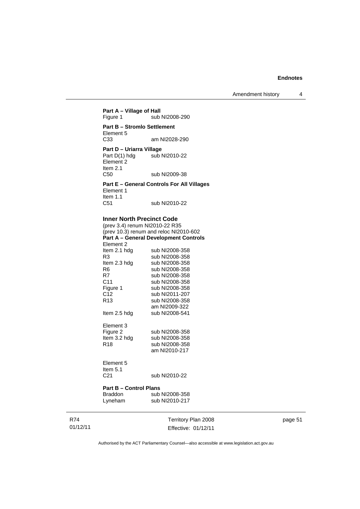Amendment history 4

### **Part A – Village of Hall**<br>Figure 1 sub sub NI2008-290 **Part B – Stromlo Settlement**  Element 5<br>C33 am NI2028-290 **Part D – Uriarra Village**<br>Part D(1) hdg sub I sub NI2010-22 Element<sup>2</sup>

Item 2.1 C50 sub NI2009-38 **Part E – General Controls For All Villages** 

Element 1 Item 1.1 C51 sub NI2010-22

#### **Inner North Precinct Code**

(prev 3.4) renum NI2010-22 R35 (prev 10.3) renum and reloc NI2010-602 **Part A – General Development Controls**  Element 2<br>Item 2.1 hdg Item 2.1 hdg sub NI2008-358<br>R3 sub NI2008-358 R3 sub NI2008-358<br>Item 2.3 hdg sub NI2008-358 sub NI2008-358 R6 sub NI2008-358<br>R7 sub NI2008-358 R7 sub NI2008-358<br>C11 sub NI2008-358 sub NI2008-358 Figure 1 sub NI2008-358 C12 sub NI2011-207<br>R13 sub NI2008-358 sub NI2008-358 am NI2009-322 Item 2.5 hdg sub NI2008-541 Element 3<br>Figure 2 Figure 2 sub NI2008-358<br>Item 3.2 hdg sub NI2008-358 sub NI2008-358 R18 sub NI2008-358 am NI2010-217 Element 5 Item  $5.1$ <br> $C.21$ 

sub NI2010-22

#### **Part B – Control Plans**

| Braddon | sub NI2008-358 |
|---------|----------------|
| Lyneham | sub NI2010-217 |

Territory Plan 2008 Effective: 01/12/11 page 51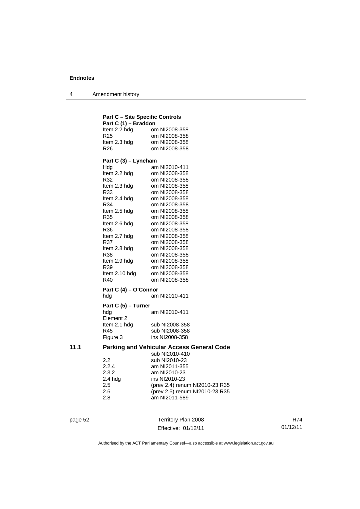4 Amendment history

|      | <b>Part C - Site Specific Controls</b> |                                                             |
|------|----------------------------------------|-------------------------------------------------------------|
|      | Part C (1) - Braddon                   |                                                             |
|      | Item 2.2 hda                           | om NI2008-358                                               |
|      | R <sub>25</sub>                        | om NI2008-358                                               |
|      | Item 2.3 hdg                           | om NI2008-358                                               |
|      | R26                                    | om NI2008-358                                               |
|      | Part C (3) – Lyneham                   |                                                             |
|      | Hdg                                    | am NI2010-411                                               |
|      | Item 2.2 hdg                           | om NI2008-358                                               |
|      | R32                                    | om NI2008-358                                               |
|      | Item 2.3 hdg                           | om NI2008-358                                               |
|      | R33                                    | om NI2008-358                                               |
|      | Item 2.4 hdg                           | om NI2008-358                                               |
|      | R34                                    | om NI2008-358                                               |
|      | Item 2.5 hdg                           | om NI2008-358                                               |
|      | R35                                    | om NI2008-358                                               |
|      | Item 2.6 hdg                           | om NI2008-358                                               |
|      | R36                                    | om NI2008-358                                               |
|      | Item 2.7 hdg<br>R37                    | om NI2008-358<br>om NI2008-358                              |
|      | Item 2.8 hdg                           | om NI2008-358                                               |
|      | R38                                    | om NI2008-358                                               |
|      | Item 2.9 hdg                           | om NI2008-358                                               |
|      | R39                                    | om NI2008-358                                               |
|      | Item 2.10 hdg                          | om NI2008-358                                               |
|      | R40                                    | om NI2008-358                                               |
|      | Part C (4) – O'Connor                  |                                                             |
|      | hda                                    | am NI2010-411                                               |
|      | Part C (5) – Turner                    |                                                             |
|      | hdg<br>Element 2                       | am NI2010-411                                               |
|      | Item 2.1 hdg                           | sub NI2008-358                                              |
|      | R45                                    | sub NI2008-358                                              |
|      | Figure 3                               | ins NI2008-358                                              |
| 11.1 |                                        | Parking and Vehicular Access General Code<br>sub NI2010-410 |
|      | 2.2                                    | sub NI2010-23                                               |
|      | 2.2.4                                  | am NI2011-355                                               |
|      | 2.3.2                                  | am NI2010-23                                                |
|      | 2.4 hdg                                | ins NI2010-23                                               |
|      | 2.5                                    | (prev 2.4) renum NI2010-23 R35                              |
|      | 2.6                                    | (prev 2.5) renum NI2010-23 R35                              |
|      | 2.8                                    | am NI2011-589                                               |

page 52 Territory Plan 2008 Effective: 01/12/11

R74 01/12/11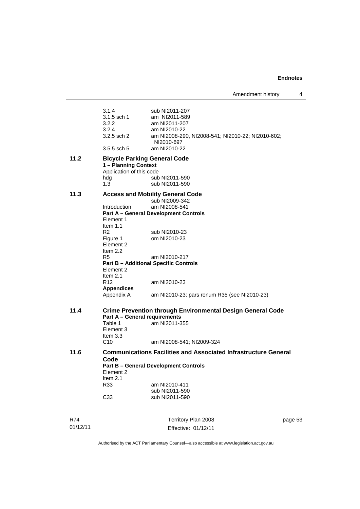a.

| 3.1.4<br>3.1.5 sch 1<br>3.2.2<br>3.2.4                                                                                                                                                                             | sub NI2011-207<br>am NI2011-589<br>am NI2011-207<br>am NI2010-22                                                                                                                                                                                                                             |         |
|--------------------------------------------------------------------------------------------------------------------------------------------------------------------------------------------------------------------|----------------------------------------------------------------------------------------------------------------------------------------------------------------------------------------------------------------------------------------------------------------------------------------------|---------|
| $3.2.5$ sch $2$<br>3.5.5 sch 5                                                                                                                                                                                     | am NI2008-290, NI2008-541; NI2010-22; NI2010-602;<br>NI2010-697<br>am NI2010-22                                                                                                                                                                                                              |         |
| 11.2<br>hdg<br>1.3                                                                                                                                                                                                 | <b>Bicycle Parking General Code</b><br>1 - Planning Context<br>Application of this code<br>sub NI2011-590<br>sub NI2011-590                                                                                                                                                                  |         |
| 11.3<br><b>Introduction</b><br>Element 1<br>Item $1.1$<br>R <sub>2</sub><br>Figure 1<br>Element 2<br>Item $2.2$<br>R <sub>5</sub><br>Element 2<br>Item $2.1$<br>R <sub>12</sub><br><b>Appendices</b><br>Appendix A | <b>Access and Mobility General Code</b><br>sub NI2009-342<br>am NI2008-541<br><b>Part A - General Development Controls</b><br>sub NI2010-23<br>om NI2010-23<br>am NI2010-217<br><b>Part B - Additional Specific Controls</b><br>am NI2010-23<br>am NI2010-23; pars renum R35 (see NI2010-23) |         |
| 11.4<br>Table 1<br>Element 3<br>Item $3.3$<br>C10                                                                                                                                                                  | <b>Crime Prevention through Environmental Design General Code</b><br><b>Part A - General requirements</b><br>am NI2011-355<br>am NI2008-541; NI2009-324                                                                                                                                      |         |
| 11.6<br>Code<br>Element 2<br>Item $2.1$<br>R33<br>C33                                                                                                                                                              | <b>Communications Facilities and Associated Infrastructure General</b><br><b>Part B - General Development Controls</b><br>am NI2010-411<br>sub NI2011-590<br>sub NI2011-590                                                                                                                  |         |
| R74<br>01/12/11                                                                                                                                                                                                    | Territory Plan 2008<br>Effective: 01/12/11                                                                                                                                                                                                                                                   | page 53 |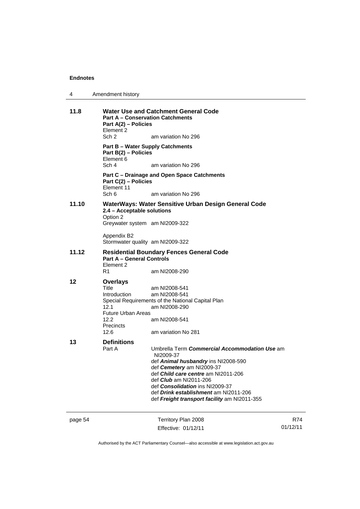| 4 | Amendment history |
|---|-------------------|
|---|-------------------|

| 11.8    | Element 2<br>Sch 2                                              | <b>Water Use and Catchment General Code</b><br><b>Part A – Conservation Catchments</b><br>Part A(2) - Policies |          |  |
|---------|-----------------------------------------------------------------|----------------------------------------------------------------------------------------------------------------|----------|--|
|         | <b>Part B - Water Supply Catchments</b><br>Part B(2) - Policies | am variation No 296                                                                                            |          |  |
|         | Element 6<br>Sch 4                                              | am variation No 296                                                                                            |          |  |
|         | Part C(2) - Policies<br>Element 11                              | Part C – Drainage and Open Space Catchments                                                                    |          |  |
|         | Sch 6                                                           | am variation No 296                                                                                            |          |  |
| 11.10   | 2.4 - Acceptable solutions<br>Option 2                          | WaterWays: Water Sensitive Urban Design General Code                                                           |          |  |
|         | Greywater system am NI2009-322                                  |                                                                                                                |          |  |
|         | Appendix B2<br>Stormwater quality am NI2009-322                 |                                                                                                                |          |  |
| 11.12   | <b>Part A - General Controls</b><br>Element 2<br>R1             | <b>Residential Boundary Fences General Code</b><br>am NI2008-290                                               |          |  |
| 12      | <b>Overlays</b>                                                 |                                                                                                                |          |  |
|         | Title<br><b>Introduction</b><br>12.1                            | am NI2008-541<br>am NI2008-541<br>Special Requirements of the National Capital Plan<br>am NI2008-290           |          |  |
|         | <b>Future Urban Areas</b><br>12.2<br>Precincts                  | am NI2008-541                                                                                                  |          |  |
|         | 12.6                                                            | am variation No 281                                                                                            |          |  |
| 13      | <b>Definitions</b><br>Part A                                    | Umbrella Term Commercial Accommodation Use am<br>NI2009-37                                                     |          |  |
|         |                                                                 | def Animal husbandry ins NI2008-590<br>def Cemetery am NI2009-37<br>def <i>Child care centre</i> am NI2011-206 |          |  |
|         |                                                                 | def Club am NI2011-206<br>def <i>Consolidation</i> ins NI2009-37                                               |          |  |
|         |                                                                 | def Drink establishment am NI2011-206<br>def Freight transport facility am NI2011-355                          |          |  |
| page 54 |                                                                 | Territory Plan 2008                                                                                            | R74      |  |
|         |                                                                 | Effective: 01/12/11                                                                                            | 01/12/11 |  |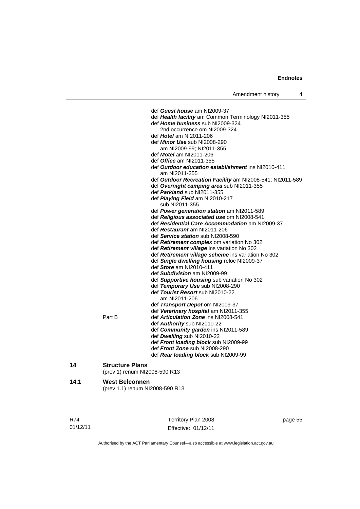| Amendment history |  |
|-------------------|--|
|-------------------|--|

|      |                                                          | def Guest house am NI2009-37<br>def Health facility am Common Terminology NI2011-355<br>def Home business sub NI2009-324<br>2nd occurrence om NI2009-324<br>def Hotel am NI2011-206<br>def <i>Minor Use</i> sub NI2008-290<br>am NI2009-99; NI2011-355<br>def <i>Motel</i> am NI2011-206<br>def <i>Office</i> am NI2011-355<br>def Outdoor education establishment ins NI2010-411<br>am NI2011-355<br>def Outdoor Recreation Facility am NI2008-541; NI2011-589 |
|------|----------------------------------------------------------|-----------------------------------------------------------------------------------------------------------------------------------------------------------------------------------------------------------------------------------------------------------------------------------------------------------------------------------------------------------------------------------------------------------------------------------------------------------------|
|      |                                                          | def Overnight camping area sub NI2011-355<br>def Parkland sub NI2011-355<br>def <i>Playing Field</i> am NI2010-217                                                                                                                                                                                                                                                                                                                                              |
|      |                                                          | sub NI2011-355<br>def <b>Power generation station</b> am NI2011-589<br>def Religious associated use om NI2008-541<br>def Residential Care Accommodation am NI2009-37                                                                                                                                                                                                                                                                                            |
|      |                                                          | def Restaurant am NI2011-206<br>def Service station sub NI2008-590<br>def Retirement complex om variation No 302                                                                                                                                                                                                                                                                                                                                                |
|      |                                                          | def <b>Retirement village</b> ins variation No 302<br>def Retirement village scheme ins variation No 302<br>def <b>Single dwelling housing</b> reloc NI2009-37<br>def Store am NI2010-411                                                                                                                                                                                                                                                                       |
|      |                                                          | def Subdivision am NI2009-99<br>def Supportive housing sub variation No 302<br>def Temporary Use sub NI2008-290<br>def Tourist Resort sub NI2010-22                                                                                                                                                                                                                                                                                                             |
|      | Part B                                                   | am NI2011-206<br>def Transport Depot om NI2009-37<br>def Veterinary hospital am NI2011-355<br>def <b>Articulation Zone</b> ins NI2008-541<br>def Authority sub NI2010-22                                                                                                                                                                                                                                                                                        |
|      |                                                          | def Community garden ins NI2011-589<br>def Dwelling sub NI2010-22<br>def Front loading block sub NI2009-99<br>def Front Zone sub NI2008-290<br>def Rear loading block sub NI2009-99                                                                                                                                                                                                                                                                             |
| 14   | <b>Structure Plans</b><br>(prev 1) renum NI2008-590 R13  |                                                                                                                                                                                                                                                                                                                                                                                                                                                                 |
| 14.1 | <b>West Belconnen</b><br>(prev 1.1) renum NI2008-590 R13 |                                                                                                                                                                                                                                                                                                                                                                                                                                                                 |

| R74      |  |
|----------|--|
| 01/12/11 |  |

Territory Plan 2008 Effective: 01/12/11

page 55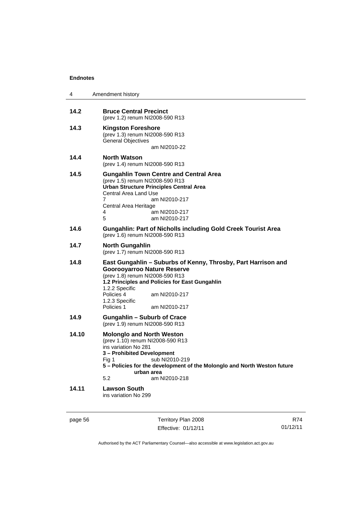| 4     | Amendment history                                                                                                                                                                                                                                                                          |  |
|-------|--------------------------------------------------------------------------------------------------------------------------------------------------------------------------------------------------------------------------------------------------------------------------------------------|--|
| 14.2  | <b>Bruce Central Precinct</b><br>(prev 1.2) renum NI2008-590 R13                                                                                                                                                                                                                           |  |
| 14.3  | <b>Kingston Foreshore</b><br>(prev 1.3) renum NI2008-590 R13<br><b>General Objectives</b><br>am NI2010-22                                                                                                                                                                                  |  |
| 14.4  | <b>North Watson</b><br>(prev 1.4) renum NI2008-590 R13                                                                                                                                                                                                                                     |  |
| 14.5  | <b>Gungahlin Town Centre and Central Area</b><br>(prev 1.5) renum NI2008-590 R13<br><b>Urban Structure Principles Central Area</b><br>Central Area Land Use<br>7<br>am NI2010-217<br>Central Area Heritage<br>4<br>am NI2010-217<br>5<br>am NI2010-217                                     |  |
| 14.6  | <b>Gungahlin: Part of Nicholls including Gold Creek Tourist Area</b><br>(prev 1.6) renum NI2008-590 R13                                                                                                                                                                                    |  |
| 14.7  | <b>North Gungahlin</b><br>(prev 1.7) renum NI2008-590 R13                                                                                                                                                                                                                                  |  |
| 14.8  | East Gungahlin – Suburbs of Kenny, Throsby, Part Harrison and<br><b>Goorooyarroo Nature Reserve</b><br>(prev 1.8) renum NI2008-590 R13<br>1.2 Principles and Policies for East Gungahlin<br>1.2.2 Specific<br>Policies 4<br>am NI2010-217<br>1.2.3 Specific<br>Policies 1<br>am NI2010-217 |  |
| 14.9  | Gungahlin – Suburb of Crace<br>(prev 1.9) renum NI2008-590 R13                                                                                                                                                                                                                             |  |
| 14.10 | <b>Molonglo and North Weston</b><br>(prev 1.10) renum NI2008-590 R13<br>ins variation No 281<br>3 - Prohibited Development<br>Fig 1 sub NI2010-219<br>5 - Policies for the development of the Molonglo and North Weston future<br>urban area<br>5.2<br>am NI2010-218                       |  |
| 14.11 | <b>Lawson South</b><br>ins variation No 299                                                                                                                                                                                                                                                |  |

page 56 Territory Plan 2008 Effective: 01/12/11

R74 01/12/11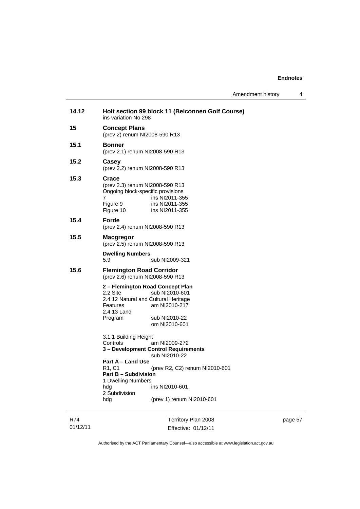| Amendment history |  |  |
|-------------------|--|--|
|-------------------|--|--|

| 14.12 | ins variation No 298                                                                                                                                 | Holt section 99 block 11 (Belconnen Golf Course)                                                                                                        |
|-------|------------------------------------------------------------------------------------------------------------------------------------------------------|---------------------------------------------------------------------------------------------------------------------------------------------------------|
| 15    | <b>Concept Plans</b><br>(prev 2) renum NI2008-590 R13                                                                                                |                                                                                                                                                         |
| 15.1  | Bonner<br>(prev 2.1) renum NI2008-590 R13                                                                                                            |                                                                                                                                                         |
| 15.2  | Casey<br>(prev 2.2) renum NI2008-590 R13                                                                                                             |                                                                                                                                                         |
| 15.3  | Crace<br>(prev 2.3) renum NI2008-590 R13<br>Ongoing block-specific provisions<br>7<br>Figure 9<br>Figure 10                                          | ins NI2011-355<br>ins NI2011-355<br>ins NI2011-355                                                                                                      |
| 15.4  | Forde<br>(prev 2.4) renum NI2008-590 R13                                                                                                             |                                                                                                                                                         |
| 15.5  | <b>Macgregor</b><br>(prev 2.5) renum NI2008-590 R13                                                                                                  |                                                                                                                                                         |
|       | <b>Dwelling Numbers</b><br>5.9                                                                                                                       | sub NI2009-321                                                                                                                                          |
| 15.6  | <b>Flemington Road Corridor</b><br>(prev 2.6) renum NI2008-590 R13                                                                                   |                                                                                                                                                         |
|       | 2 – Flemington Road Concept Plan<br>2.2 Site<br>2.4.12 Natural and Cultural Heritage<br>Features<br>2.4.13 Land<br>Program                           | sub NI2010-601<br>am NI2010-217<br>sub NI2010-22<br>om NI2010-601                                                                                       |
|       | 3.1.1 Building Height<br>Controls<br>Part A - Land Use<br>R1, C1<br><b>Part B - Subdivision</b><br>1 Dwelling Numbers<br>hda<br>2 Subdivision<br>hdg | am NI2009-272<br>3 - Development Control Requirements<br>sub NI2010-22<br>(prev R2, C2) renum NI2010-601<br>ins NI2010-601<br>(prev 1) renum NI2010-601 |

R74 01/12/11

Territory Plan 2008 Effective: 01/12/11 page 57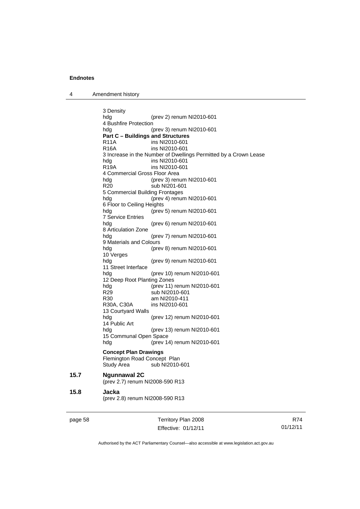4 Amendment history

3 Density hdg (prev 2) renum NI2010-601 4 Bushfire Protection hdg (prev 3) renum NI2010-601 **Part C – Buildings and Structures**  R11A ins NI2010-601<br>R16A ins NI2010-601 ins NI2010-601 3 Increase in the Number of Dwellings Permitted by a Crown Lease hdg ins NI2010-601 R19A ins NI2010-601 4 Commercial Gross Floor Area hdg (prev 3) renum NI2010-601 R20 sub NI201-601 5 Commercial Building Frontages hdg (prev 4) renum NI2010-601 6 Floor to Ceiling Heights (prev 5) renum NI2010-601 7 Service Entries hdg (prev 6) renum NI2010-601 8 Articulation Zone hdg (prev 7) renum NI2010-601 9 Materials and Colours hdg (prev 8) renum NI2010-601 10 Verges hdg (prev 9) renum NI2010-601 11 Street Interface<br>hdg (prev 10) renum NI2010-601 12 Deep Root Planting Zones hdg (prev 11) renum NI2010-601 R29 sub NI2010-601 R30 am NI2010-411 R30A, C30A ins NI2010-601 13 Courtyard Walls hdg (prev 12) renum NI2010-601 14 Public Art hdg (prev 13) renum NI2010-601 15 Communal Open Space hdg (prev 14) renum NI2010-601 **Concept Plan Drawings**  Flemington Road Concept Plan Study Area sub NI2010-601 **15.7 Ngunnawal 2C**  (prev 2.7) renum NI2008-590 R13 **15.8 Jacka**  (prev 2.8) renum NI2008-590 R13

page 58 Territory Plan 2008 Effective: 01/12/11

R74 01/12/11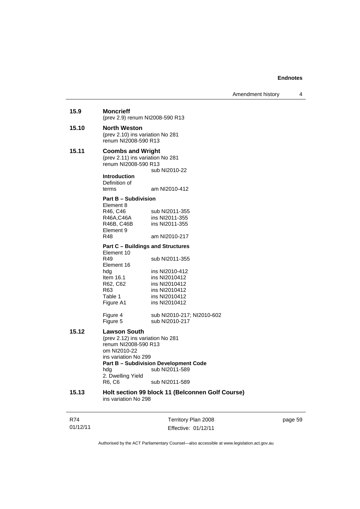page 59

### R74 01/12/11 Territory Plan 2008 Effective: 01/12/11 **15.9 Moncrieff**  (prev 2.9) renum NI2008-590 R13 **15.10 North Weston**  (prev 2.10) ins variation No 281 renum NI2008-590 R13 **15.11 Coombs and Wright**  (prev 2.11) ins variation No 281 renum NI2008-590 R13 sub NI2010-22 **Introduction**  Definition of<br>terms am NI2010-412 **Part B – Subdivision**  Element 8 R46, C46 sub NI2011-355 R46A,C46A ins NI2011-355 R46B, C46B ins NI2011-355 Element 9<br>R48 am NI2010-217 **Part C – Buildings and Structures**  Element 10<br>R49 sub NI2011-355 Element 16 hdg ins NI2010-412 Item 16.1 ins NI2010412<br>R62, C62 ins NI2010412 ins NI2010412 R63 ins NI2010412<br>Table 1 ins NI2010412 Table 1 ins NI2010412<br>Figure A1 ins NI2010412 ins NI2010412 Figure 4 sub NI2010-217; NI2010-602 sub NI2010-217 **15.12 Lawson South**  (prev 2.12) ins variation No 281 renum NI2008-590 R13 om NI2010-22 ins variation No 299 **Part B – Subdivision Development Code**  hdg sub NI2011-589 2. Dwelling Yield<br>R6, C6 sub NI2011-589 **15.13 Holt section 99 block 11 (Belconnen Golf Course)**  ins variation No 298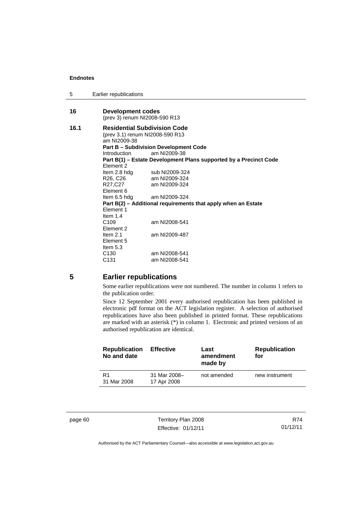5 Earlier republications

| 16   | Development codes                                                 |                                                               |  |  |  |
|------|-------------------------------------------------------------------|---------------------------------------------------------------|--|--|--|
|      | (prev 3) renum NI2008-590 R13                                     |                                                               |  |  |  |
| 16.1 |                                                                   | <b>Residential Subdivision Code</b>                           |  |  |  |
|      |                                                                   | (prev 3.1) renum NI2008-590 R13                               |  |  |  |
|      | am NI2009-38                                                      |                                                               |  |  |  |
|      | <b>Part B - Subdivision Development Code</b>                      |                                                               |  |  |  |
|      | Introduction                                                      | am NI2009-38                                                  |  |  |  |
|      | Part B(1) – Estate Development Plans supported by a Precinct Code |                                                               |  |  |  |
|      | Flement 2                                                         |                                                               |  |  |  |
|      |                                                                   | Item 2.8 hdg sub NI2009-324                                   |  |  |  |
|      | R26, C26                                                          | am NI2009-324                                                 |  |  |  |
|      | R27,C27                                                           | am NI2009-324                                                 |  |  |  |
|      | Element 6                                                         |                                                               |  |  |  |
|      |                                                                   | Item $6.5$ hdg am NI2009-324                                  |  |  |  |
|      |                                                                   | Part B(2) - Additional requirements that apply when an Estate |  |  |  |
|      | Flement 1                                                         |                                                               |  |  |  |
|      | Item $1.4$                                                        |                                                               |  |  |  |
|      | C <sub>109</sub>                                                  | am NI2008-541                                                 |  |  |  |
|      | Element 2                                                         |                                                               |  |  |  |
|      | Item $2.1$                                                        | am NI2009-487                                                 |  |  |  |
|      | Element 5                                                         |                                                               |  |  |  |
|      | Item 5.3                                                          |                                                               |  |  |  |
|      | C <sub>130</sub>                                                  | am NI2008-541                                                 |  |  |  |
|      | C <sub>131</sub>                                                  | am NI2008-541                                                 |  |  |  |

### **5 Earlier republications**

Some earlier republications were not numbered. The number in column 1 refers to the publication order.

Since 12 September 2001 every authorised republication has been published in electronic pdf format on the ACT legislation register. A selection of authorised republications have also been published in printed format. These republications are marked with an asterisk  $(*)$  in column 1. Electronic and printed versions of an authorised republication are identical.

| <b>Republication</b><br>No and date | <b>Effective</b>            | Last<br>amendment<br>made by | <b>Republication</b><br>for |
|-------------------------------------|-----------------------------|------------------------------|-----------------------------|
| R1<br>31 Mar 2008                   | 31 Mar 2008-<br>17 Apr 2008 | not amended                  | new instrument              |

page 60 Territory Plan 2008 Effective: 01/12/11

R74 01/12/11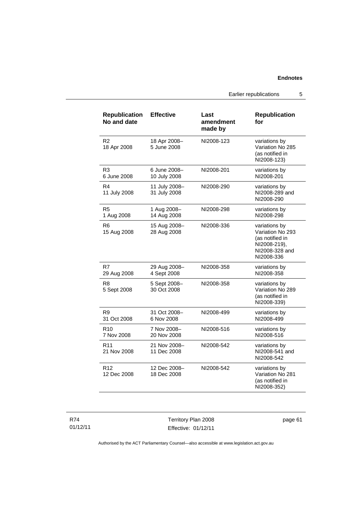Earlier republications 5

| <b>Republication</b><br>No and date | <b>Effective</b>              | Last<br>amendment<br>made by | <b>Republication</b><br>for                                                                          |
|-------------------------------------|-------------------------------|------------------------------|------------------------------------------------------------------------------------------------------|
| R2<br>18 Apr 2008                   | 18 Apr 2008-<br>5 June 2008   | NI2008-123                   | variations by<br>Variation No 285<br>(as notified in<br>NI2008-123)                                  |
| R3<br>6 June 2008                   | 6 June 2008-<br>10 July 2008  | NI2008-201                   | variations by<br>NI2008-201                                                                          |
| R4<br>11 July 2008                  | 11 July 2008-<br>31 July 2008 | NI2008-290                   | variations by<br>NI2008-289 and<br>NI2008-290                                                        |
| R5<br>1 Aug 2008                    | 1 Aug 2008-<br>14 Aug 2008    | NI2008-298                   | variations by<br>NI2008-298                                                                          |
| R6<br>15 Aug 2008                   | 15 Aug 2008-<br>28 Aug 2008   | NI2008-336                   | variations by<br>Variation No 293<br>(as notified in<br>NI2008-219),<br>NI2008-328 and<br>NI2008-336 |
| R7<br>29 Aug 2008                   | 29 Aug 2008-<br>4 Sept 2008   | NI2008-358                   | variations by<br>NI2008-358                                                                          |
| R <sub>8</sub><br>5 Sept 2008       | 5 Sept 2008-<br>30 Oct 2008   | NI2008-358                   | variations by<br>Variation No 289<br>(as notified in<br>NI2008-339)                                  |
| R9<br>31 Oct 2008                   | 31 Oct 2008-<br>6 Nov 2008    | NI2008-499                   | variations by<br>NI2008-499                                                                          |
| R <sub>10</sub><br>7 Nov 2008       | 7 Nov 2008-<br>20 Nov 2008    | NI2008-516                   | variations by<br>NI2008-516                                                                          |
| R <sub>11</sub><br>21 Nov 2008      | 21 Nov 2008-<br>11 Dec 2008   | NI2008-542                   | variations by<br>NI2008-541 and<br>NI2008-542                                                        |
| R <sub>12</sub><br>12 Dec 2008      | 12 Dec 2008-<br>18 Dec 2008   | NI2008-542                   | variations by<br>Variation No 281<br>(as notified in<br>NI2008-352)                                  |

R74 01/12/11

Territory Plan 2008 Effective: 01/12/11 page 61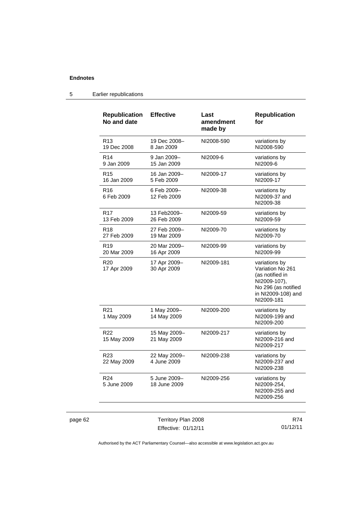| <b>Republication</b><br>No and date | <b>Effective</b>             | Last<br>amendment<br>made by | <b>Republication</b><br>for                                                                                                     |
|-------------------------------------|------------------------------|------------------------------|---------------------------------------------------------------------------------------------------------------------------------|
| R <sub>13</sub><br>19 Dec 2008      | 19 Dec 2008-<br>8 Jan 2009   | NI2008-590                   | variations by<br>NI2008-590                                                                                                     |
| R <sub>14</sub><br>9 Jan 2009       | 9 Jan 2009-<br>15 Jan 2009   | NI2009-6                     | variations by<br>NI2009-6                                                                                                       |
| R <sub>15</sub><br>16 Jan 2009      | 16 Jan 2009-<br>5 Feb 2009   | NI2009-17                    | variations by<br>NI2009-17                                                                                                      |
| R <sub>16</sub><br>6 Feb 2009       | 6 Feb 2009-<br>12 Feb 2009   | NI2009-38                    | variations by<br>NI2009-37 and<br>NI2009-38                                                                                     |
| R <sub>17</sub><br>13 Feb 2009      | 13 Feb2009-<br>26 Feb 2009   | NI2009-59                    | variations by<br>NI2009-59                                                                                                      |
| R18<br>27 Feb 2009                  | 27 Feb 2009-<br>19 Mar 2009  | NI2009-70                    | variations by<br>NI2009-70                                                                                                      |
| R <sub>19</sub><br>20 Mar 2009      | 20 Mar 2009-<br>16 Apr 2009  | NI2009-99                    | variations by<br>NI2009-99                                                                                                      |
| R <sub>20</sub><br>17 Apr 2009      | 17 Apr 2009-<br>30 Apr 2009  | NI2009-181                   | variations by<br>Variation No 261<br>(as notified in<br>NI2009-107),<br>No 296 (as notified<br>in NI2009-108) and<br>NI2009-181 |
| R <sub>21</sub><br>1 May 2009       | 1 May 2009-<br>14 May 2009   | NI2009-200                   | variations by<br>NI2009-199 and<br>NI2009-200                                                                                   |
| R <sub>22</sub><br>15 May 2009      | 15 May 2009-<br>21 May 2009  | NI2009-217                   | variations by<br>NI2009-216 and<br>NI2009-217                                                                                   |
| R <sub>23</sub><br>22 May 2009      | 22 May 2009-<br>4 June 2009  | NI2009-238                   | variations by<br>NI2009-237 and<br>NI2009-238                                                                                   |
| R <sub>24</sub><br>5 June 2009      | 5 June 2009-<br>18 June 2009 | NI2009-256                   | variations by<br>NI2009-254,<br>NI2009-255 and<br>NI2009-256                                                                    |
|                                     |                              |                              |                                                                                                                                 |

### 5 Earlier republications

page 62 Territory Plan 2008 Effective: 01/12/11

R74 01/12/11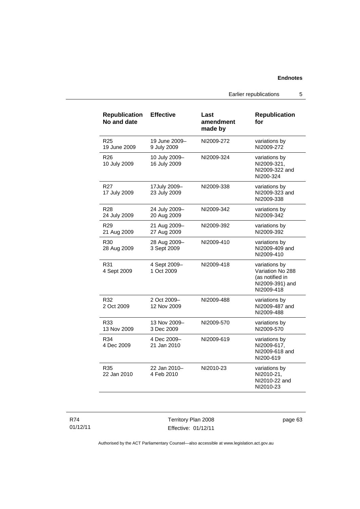Earlier republications 5

| <b>Republication</b><br>No and date | <b>Effective</b>              | Last<br>amendment<br>made by | <b>Republication</b><br>for                                                           |
|-------------------------------------|-------------------------------|------------------------------|---------------------------------------------------------------------------------------|
| R <sub>25</sub><br>19 June 2009     | 19 June 2009-<br>9 July 2009  | NI2009-272                   | variations by<br>NI2009-272                                                           |
| R <sub>26</sub><br>10 July 2009     | 10 July 2009-<br>16 July 2009 | NI2009-324                   | variations by<br>NI2009-321,<br>NI2009-322 and<br>NI200-324                           |
| R27<br>17 July 2009                 | 17July 2009-<br>23 July 2009  | NI2009-338                   | variations by<br>NI2009-323 and<br>NI2009-338                                         |
| R <sub>28</sub><br>24 July 2009     | 24 July 2009-<br>20 Aug 2009  | NI2009-342                   | variations by<br>NI2009-342                                                           |
| R <sub>29</sub><br>21 Aug 2009      | 21 Aug 2009-<br>27 Aug 2009   | NI2009-392                   | variations by<br>NI2009-392                                                           |
| R30<br>28 Aug 2009                  | 28 Aug 2009-<br>3 Sept 2009   | NI2009-410                   | variations by<br>NI2009-409 and<br>NI2009-410                                         |
| R31<br>4 Sept 2009                  | 4 Sept 2009-<br>1 Oct 2009    | NI2009-418                   | variations by<br>Variation No 288<br>(as notified in<br>NI2009-391) and<br>NI2009-418 |
| R32<br>2 Oct 2009                   | 2 Oct 2009-<br>12 Nov 2009    | NI2009-488                   | variations by<br>NI2009-487 and<br>NI2009-488                                         |
| R33<br>13 Nov 2009                  | 13 Nov 2009-<br>3 Dec 2009    | NI2009-570                   | variations by<br>NI2009-570                                                           |
| R34<br>4 Dec 2009                   | 4 Dec 2009-<br>21 Jan 2010    | NI2009-619                   | variations by<br>NI2009-617.<br>NI2009-618 and<br>NI200-619                           |
| R35<br>22 Jan 2010                  | 22 Jan 2010-<br>4 Feb 2010    | NI2010-23                    | variations by<br>NI2010-21,<br>NI2010-22 and<br>NI2010-23                             |

R74 01/12/11

Territory Plan 2008 Effective: 01/12/11 page 63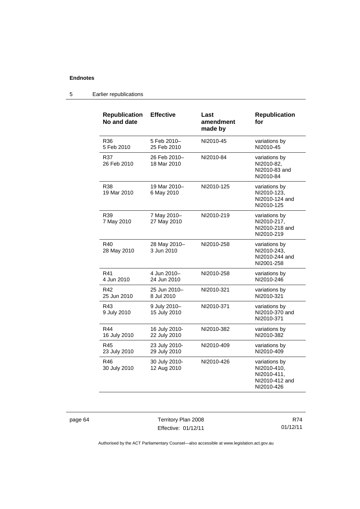| <b>Republication</b><br>No and date | <b>Effective</b>              | Last<br>amendment<br>made by | <b>Republication</b><br>for                                                 |
|-------------------------------------|-------------------------------|------------------------------|-----------------------------------------------------------------------------|
| R36<br>5 Feb 2010                   | 5 Feb 2010-<br>25 Feb 2010    | NI2010-45                    | variations by<br>NI2010-45                                                  |
| R37<br>26 Feb 2010                  | 26 Feb 2010-<br>18 Mar 2010   | NI2010-84                    | variations by<br>NI2010-82,<br>NI2010-83 and<br>NI2010-84                   |
| R38<br>19 Mar 2010                  | 19 Mar 2010-<br>6 May 2010    | NI2010-125                   | variations by<br>NI2010-123,<br>NI2010-124 and<br>NI2010-125                |
| R39<br>7 May 2010                   | 7 May 2010-<br>27 May 2010    | NI2010-219                   | variations by<br>NI2010-217.<br>NI2010-218 and<br>NI2010-219                |
| R40<br>28 May 2010                  | 28 May 2010-<br>3 Jun 2010    | NI2010-258                   | variations by<br>NI2010-243.<br>NI2010-244 and<br>NI2001-258                |
| R41<br>4 Jun 2010                   | 4 Jun 2010-<br>24 Jun 2010    | NI2010-258                   | variations by<br>NI2010-246                                                 |
| R42<br>25 Jun 2010                  | 25 Jun 2010-<br>8 Jul 2010    | NI2010-321                   | variations by<br>NI2010-321                                                 |
| R43<br>9 July 2010                  | 9 July 2010-<br>15 July 2010  | NI2010-371                   | variations by<br>NI2010-370 and<br>NI2010-371                               |
| R44<br>16 July 2010                 | 16 July 2010-<br>22 July 2010 | NI2010-382                   | variations by<br>NI2010-382                                                 |
| R45<br>23 July 2010                 | 23 July 2010-<br>29 July 2010 | NI2010-409                   | variations by<br>NI2010-409                                                 |
| R46<br>30 July 2010                 | 30 July 2010-<br>12 Aug 2010  | NI2010-426                   | variations by<br>NI2010-410,<br>NI2010-411,<br>NI2010-412 and<br>NI2010-426 |

### 5 Earlier republications

page 64 Territory Plan 2008 Effective: 01/12/11

R74 01/12/11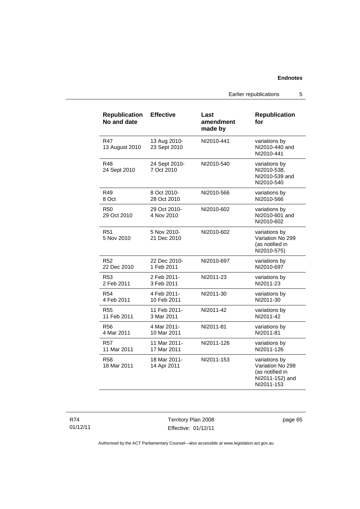Earlier republications 5

| <b>Republication</b><br>No and date | <b>Effective</b>             | Last<br>amendment<br>made by | <b>Republication</b><br>for                                                           |
|-------------------------------------|------------------------------|------------------------------|---------------------------------------------------------------------------------------|
| R47<br>13 August 2010               | 13 Aug 2010-<br>23 Sept 2010 | NI2010-441                   | variations by<br>NI2010-440 and<br>NI2010-441                                         |
| R48<br>24 Sept 2010                 | 24 Sept 2010-<br>7 Oct 2010  | NI2010-540                   | variations by<br>NI2010-538,<br>NI2010-539 and<br>NI2010-540                          |
| R49                                 | 8 Oct 2010-                  | NI2010-566                   | variations by                                                                         |
| 8 Oct                               | 28 Oct 2010                  |                              | NI2010-566                                                                            |
| R <sub>50</sub><br>29 Oct 2010      | 29 Oct 2010-<br>4 Nov 2010   | NI2010-602                   | variations by<br>NI2010-601 and<br>NI2010-602                                         |
| R <sub>51</sub><br>5 Nov 2010       | 5 Nov 2010-<br>21 Dec 2010   | NI2010-602                   | variations by<br>Variation No 299<br>(as notified in<br>NI2010-575)                   |
| R <sub>52</sub>                     | 22 Dec 2010-                 | NI2010-697                   | variations by                                                                         |
| 22 Dec 2010                         | 1 Feb 2011                   |                              | NI2010-697                                                                            |
| R <sub>53</sub>                     | 2 Feb 2011-                  | NI2011-23                    | variations by                                                                         |
| 2 Feb 2011                          | 3 Feb 2011                   |                              | NI2011-23                                                                             |
| R <sub>54</sub>                     | 4 Feb 2011-                  | NI2011-30                    | variations by                                                                         |
| 4 Feb 2011                          | 10 Feb 2011                  |                              | NI2011-30                                                                             |
| <b>R55</b>                          | 11 Feb 2011-                 | NI2011-42                    | variations by                                                                         |
| 11 Feb 2011                         | 3 Mar 2011                   |                              | NI2011-42                                                                             |
| <b>R56</b>                          | 4 Mar 2011-                  | NI2011-81                    | variations by                                                                         |
| 4 Mar 2011                          | 10 Mar 2011                  |                              | NI2011-81                                                                             |
| R57                                 | 11 Mar 2011-                 | NI2011-126                   | variations by                                                                         |
| 11 Mar 2011                         | 17 Mar 2011                  |                              | NI2011-126                                                                            |
| <b>R58</b><br>18 Mar 2011           | 18 Mar 2011-<br>14 Apr 2011  | NI2011-153                   | variations by<br>Variation No 298<br>(as notified in<br>NI2011-152) and<br>NI2011-153 |

R74 01/12/11

Territory Plan 2008 Effective: 01/12/11 page 65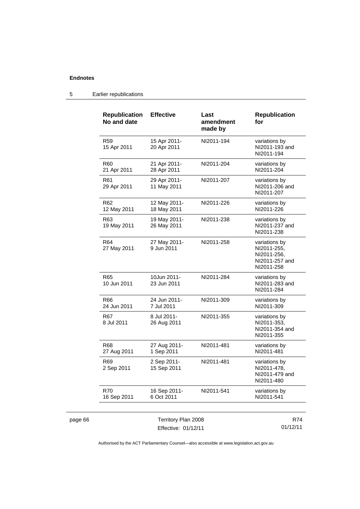page 66

| <b>Republication</b><br>No and date | <b>Effective</b>            | Last<br>amendment<br>made by | <b>Republication</b><br>for                                                 |
|-------------------------------------|-----------------------------|------------------------------|-----------------------------------------------------------------------------|
| R <sub>59</sub><br>15 Apr 2011      | 15 Apr 2011-<br>20 Apr 2011 | NI2011-194                   | variations by<br>NI2011-193 and<br>NI2011-194                               |
| R60<br>21 Apr 2011                  | 21 Apr 2011-<br>28 Apr 2011 | NI2011-204                   | variations by<br>NI2011-204                                                 |
| R <sub>61</sub><br>29 Apr 2011      | 29 Apr 2011-<br>11 May 2011 | NI2011-207                   | variations by<br>NI2011-206 and<br>NI2011-207                               |
| R62<br>12 May 2011                  | 12 May 2011-<br>18 May 2011 | NI2011-226                   | variations by<br>NI2011-226                                                 |
| R63<br>19 May 2011                  | 19 May 2011-<br>26 May 2011 | NI2011-238                   | variations by<br>NI2011-237 and<br>NI2011-238                               |
| R64<br>27 May 2011                  | 27 May 2011-<br>9 Jun 2011  | NI2011-258                   | variations by<br>NI2011-255,<br>NI2011-256.<br>NI2011-257 and<br>NI2011-258 |
| R65<br>10 Jun 2011                  | 10Jun 2011-<br>23 Jun 2011  | NI2011-284                   | variations by<br>NI2011-283 and<br>NI2011-284                               |
| R66<br>24 Jun 2011                  | 24 Jun 2011-<br>7 Jul 2011  | NI2011-309                   | variations by<br>NI2011-309                                                 |
| R67<br>8 Jul 2011                   | 8 Jul 2011-<br>26 Aug 2011  | NI2011-355                   | variations by<br>NI2011-353,<br>NI2011-354 and<br>NI2011-355                |
| R68<br>27 Aug 2011                  | 27 Aug 2011-<br>1 Sep 2011  | NI2011-481                   | variations by<br>NI2011-481                                                 |
| R <sub>69</sub><br>2 Sep 2011       | 2 Sep 2011-<br>15 Sep 2011  | NI2011-481                   | variations by<br>NI2011-478,<br>NI2011-479 and<br>NI2011-480                |
| <b>R70</b><br>16 Sep 2011           | 16 Sep 2011-<br>6 Oct 2011  | NI2011-541                   | variations by<br>NI2011-541                                                 |
|                                     | Territory Plan 2008         |                              | R74                                                                         |
| Effective: 01/12/11                 |                             |                              | 01/12/11                                                                    |

### 5 Earlier republications